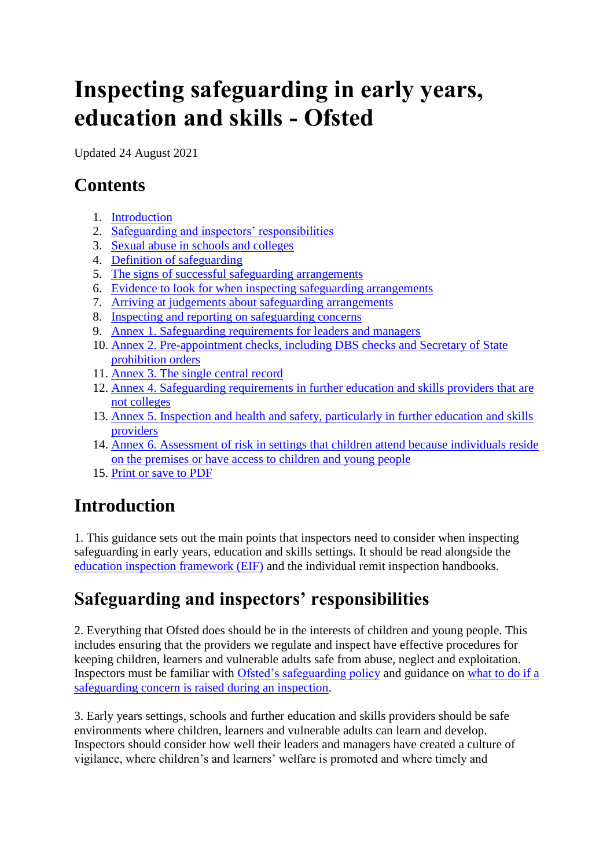# **Inspecting safeguarding in early years, education and skills - Ofsted**

Updated 24 August 2021

# **Contents**

- 1. [Introduction](https://www.gov.uk/government/publications/inspecting-safeguarding-in-early-years-education-and-skills/inspecting-safeguarding-in-early-years-education-and-skills#introduction)
- 2. [Safeguarding and inspectors' responsibilities](https://www.gov.uk/government/publications/inspecting-safeguarding-in-early-years-education-and-skills/inspecting-safeguarding-in-early-years-education-and-skills#safeguarding-and-inspectors-responsibilities)
- 3. [Sexual abuse in schools and colleges](https://www.gov.uk/government/publications/inspecting-safeguarding-in-early-years-education-and-skills/inspecting-safeguarding-in-early-years-education-and-skills#sexual-abuse-in-schools-and-colleges)
- 4. [Definition of safeguarding](https://www.gov.uk/government/publications/inspecting-safeguarding-in-early-years-education-and-skills/inspecting-safeguarding-in-early-years-education-and-skills#definition-of-safeguarding)
- 5. [The signs of successful safeguarding arrangements](https://www.gov.uk/government/publications/inspecting-safeguarding-in-early-years-education-and-skills/inspecting-safeguarding-in-early-years-education-and-skills#the-signs-of-successful-safeguarding-arrangements)
- 6. [Evidence to look for when inspecting safeguarding arrangements](https://www.gov.uk/government/publications/inspecting-safeguarding-in-early-years-education-and-skills/inspecting-safeguarding-in-early-years-education-and-skills#evidence-to-look-for-when-inspecting-safeguarding-arrangements)
- 7. [Arriving at judgements about safeguarding arrangements](https://www.gov.uk/government/publications/inspecting-safeguarding-in-early-years-education-and-skills/inspecting-safeguarding-in-early-years-education-and-skills#arriving-at-judgements-about-safeguarding-arrangements)
- 8. [Inspecting and reporting on safeguarding concerns](https://www.gov.uk/government/publications/inspecting-safeguarding-in-early-years-education-and-skills/inspecting-safeguarding-in-early-years-education-and-skills#inspecting-and-reporting-on-safeguarding-concerns)
- 9. [Annex 1. Safeguarding requirements for leaders and managers](https://www.gov.uk/government/publications/inspecting-safeguarding-in-early-years-education-and-skills/inspecting-safeguarding-in-early-years-education-and-skills#annex-1-safeguarding-requirements-for-leaders-and-managers)
- 10. [Annex 2. Pre-appointment checks, including DBS checks and Secretary of State](https://www.gov.uk/government/publications/inspecting-safeguarding-in-early-years-education-and-skills/inspecting-safeguarding-in-early-years-education-and-skills#annex-2-pre-appointment-checks-including-dbs-checks-and-secretary-of-state-prohibition-orders)  [prohibition orders](https://www.gov.uk/government/publications/inspecting-safeguarding-in-early-years-education-and-skills/inspecting-safeguarding-in-early-years-education-and-skills#annex-2-pre-appointment-checks-including-dbs-checks-and-secretary-of-state-prohibition-orders)
- 11. [Annex 3. The single central record](https://www.gov.uk/government/publications/inspecting-safeguarding-in-early-years-education-and-skills/inspecting-safeguarding-in-early-years-education-and-skills#annex-3-the-single-central-record)
- 12. [Annex 4. Safeguarding requirements in further education and skills providers that are](https://www.gov.uk/government/publications/inspecting-safeguarding-in-early-years-education-and-skills/inspecting-safeguarding-in-early-years-education-and-skills#annex-4)  [not colleges](https://www.gov.uk/government/publications/inspecting-safeguarding-in-early-years-education-and-skills/inspecting-safeguarding-in-early-years-education-and-skills#annex-4)
- 13. [Annex 5. Inspection and health and safety, particularly in further education and skills](https://www.gov.uk/government/publications/inspecting-safeguarding-in-early-years-education-and-skills/inspecting-safeguarding-in-early-years-education-and-skills#annex-5)  [providers](https://www.gov.uk/government/publications/inspecting-safeguarding-in-early-years-education-and-skills/inspecting-safeguarding-in-early-years-education-and-skills#annex-5)
- 14. [Annex 6. Assessment of risk in settings that children attend because individuals reside](https://www.gov.uk/government/publications/inspecting-safeguarding-in-early-years-education-and-skills/inspecting-safeguarding-in-early-years-education-and-skills#annex-6-assessment-of-risk-in-settings-that-children-attend-because-individuals-reside-on-the-premises-or-have-access-to-children-and-young-people)  [on the premises or have access to children and young people](https://www.gov.uk/government/publications/inspecting-safeguarding-in-early-years-education-and-skills/inspecting-safeguarding-in-early-years-education-and-skills#annex-6-assessment-of-risk-in-settings-that-children-attend-because-individuals-reside-on-the-premises-or-have-access-to-children-and-young-people)
- 15. [Print or save to PDF](https://www.gov.uk/government/publications/inspecting-safeguarding-in-early-years-education-and-skills/inspecting-safeguarding-in-early-years-education-and-skills#print-or-save-to-pdf)

# **Introduction**

1. This guidance sets out the main points that inspectors need to consider when inspecting safeguarding in early years, education and skills settings. It should be read alongside the [education inspection framework \(EIF\)](https://www.gov.uk/government/publications/education-inspection-framework) and the individual remit inspection handbooks.

# **Safeguarding and inspectors' responsibilities**

2. Everything that Ofsted does should be in the interests of children and young people. This includes ensuring that the providers we regulate and inspect have effective procedures for keeping children, learners and vulnerable adults safe from abuse, neglect and exploitation. Inspectors must be familiar with [Ofsted's safeguarding policy](https://www.gov.uk/government/publications/ofsted-safeguarding-policy) and guidance on [what to do if a](https://www.gov.uk/government/publications/ofsted-safeguarding-policy/safeguarding-concerns-guidance-for-inspectors)  [safeguarding concern is raised during an inspection.](https://www.gov.uk/government/publications/ofsted-safeguarding-policy/safeguarding-concerns-guidance-for-inspectors)

3. Early years settings, schools and further education and skills providers should be safe environments where children, learners and vulnerable adults can learn and develop. Inspectors should consider how well their leaders and managers have created a culture of vigilance, where children's and learners' welfare is promoted and where timely and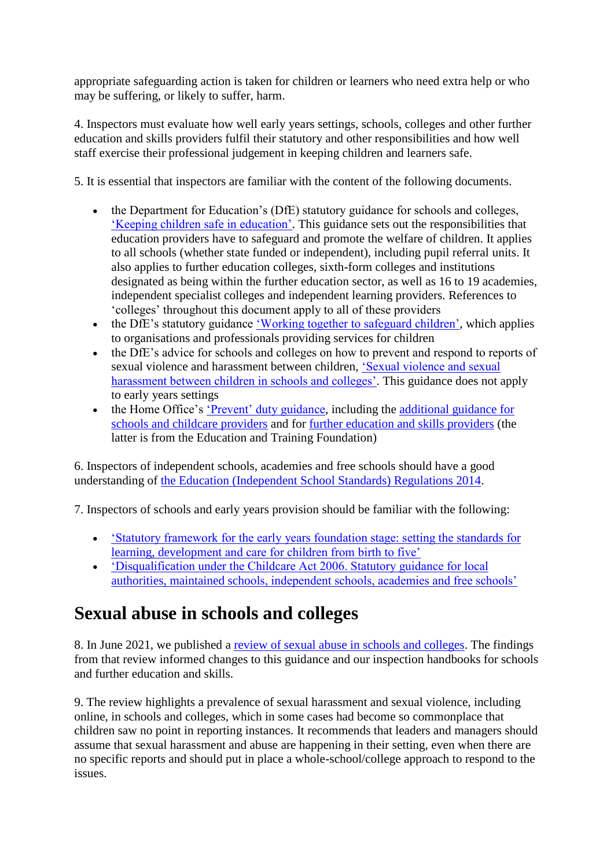appropriate safeguarding action is taken for children or learners who need extra help or who may be suffering, or likely to suffer, harm.

4. Inspectors must evaluate how well early years settings, schools, colleges and other further education and skills providers fulfil their statutory and other responsibilities and how well staff exercise their professional judgement in keeping children and learners safe.

5. It is essential that inspectors are familiar with the content of the following documents.

- the Department for Education's (DfE) statutory guidance for schools and colleges, ['Keeping children safe in education'.](https://www.gov.uk/government/publications/keeping-children-safe-in-education--2) This guidance sets out the responsibilities that education providers have to safeguard and promote the welfare of children. It applies to all schools (whether state funded or independent), including pupil referral units. It also applies to further education colleges, sixth-form colleges and institutions designated as being within the further education sector, as well as 16 to 19 academies, independent specialist colleges and independent learning providers. References to 'colleges' throughout this document apply to all of these providers
- the DfE's statutory guidance ['Working together to safeguard children',](https://www.gov.uk/government/publications/working-together-to-safeguard-children--2) which applies to organisations and professionals providing services for children
- the DfE's advice for schools and colleges on how to prevent and respond to reports of sexual violence and harassment between children, ['Sexual violence and sexual](https://www.gov.uk/government/publications/sexual-violence-and-sexual-harassment-between-children-in-schools-and-colleges)  [harassment between children in schools and colleges'.](https://www.gov.uk/government/publications/sexual-violence-and-sexual-harassment-between-children-in-schools-and-colleges) This guidance does not apply to early years settings
- the Home Office's ['Prevent' duty guidance,](https://www.gov.uk/government/publications/prevent-duty-guidance) including the additional guidance for [schools and childcare providers](https://www.gov.uk/government/publications/protecting-children-from-radicalisation-the-prevent-duty) and for [further education and skills providers](https://www.preventforfeandtraining.org.uk/) (the latter is from the Education and Training Foundation)

6. Inspectors of independent schools, academies and free schools should have a good understanding of [the Education \(Independent School Standards\) Regulations 2014.](https://www.legislation.gov.uk/uksi/2014/3283/contents/made)

7. Inspectors of schools and early years provision should be familiar with the following:

- ['Statutory framework for the early years foundation stage: setting the standards for](https://www.gov.uk/government/publications/early-years-foundation-stage-framework--2)  [learning, development and care for children from birth to five'](https://www.gov.uk/government/publications/early-years-foundation-stage-framework--2)
- ['Disqualification under the Childcare Act 2006. Statutory guidance for local](https://www.gov.uk/government/publications/disqualification-under-the-childcare-act-2006)  [authorities, maintained schools, independent schools, academies and free schools'](https://www.gov.uk/government/publications/disqualification-under-the-childcare-act-2006)

# **Sexual abuse in schools and colleges**

8. In June 2021, we published a [review of sexual abuse in schools and colleges.](https://www.gov.uk/government/publications/review-of-sexual-abuse-in-schools-and-colleges) The findings from that review informed changes to this guidance and our inspection handbooks for schools and further education and skills.

9. The review highlights a prevalence of sexual harassment and sexual violence, including online, in schools and colleges, which in some cases had become so commonplace that children saw no point in reporting instances. It recommends that leaders and managers should assume that sexual harassment and abuse are happening in their setting, even when there are no specific reports and should put in place a whole-school/college approach to respond to the issues.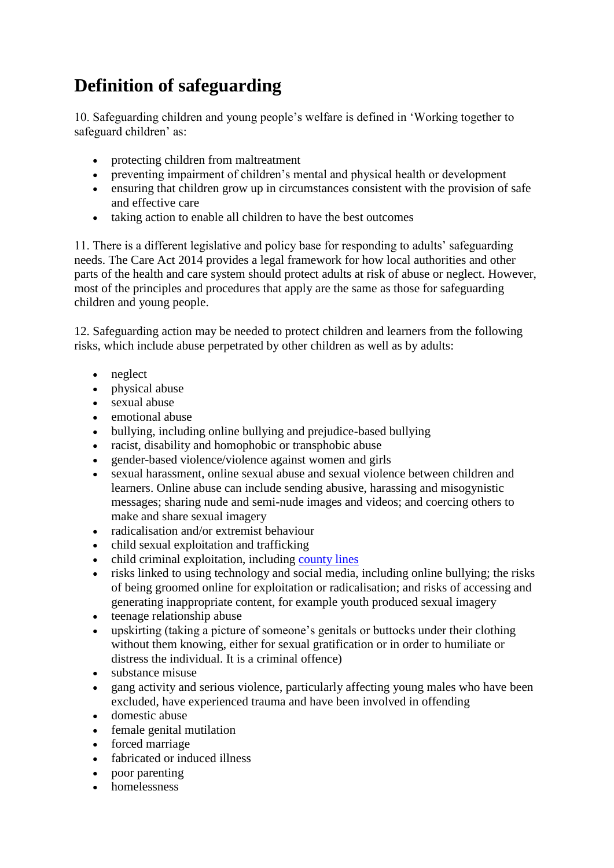# **Definition of safeguarding**

10. Safeguarding children and young people's welfare is defined in 'Working together to safeguard children' as:

- protecting children from maltreatment
- preventing impairment of children's mental and physical health or development
- ensuring that children grow up in circumstances consistent with the provision of safe and effective care
- taking action to enable all children to have the best outcomes

11. There is a different legislative and policy base for responding to adults' safeguarding needs. The Care Act 2014 provides a legal framework for how local authorities and other parts of the health and care system should protect adults at risk of abuse or neglect. However, most of the principles and procedures that apply are the same as those for safeguarding children and young people.

12. Safeguarding action may be needed to protect children and learners from the following risks, which include abuse perpetrated by other children as well as by adults:

- neglect
- physical abuse
- sexual abuse
- emotional abuse
- bullying, including online bullying and prejudice-based bullying
- racist, disability and homophobic or transphobic abuse
- gender-based violence/violence against women and girls
- sexual harassment, online sexual abuse and sexual violence between children and learners. Online abuse can include sending abusive, harassing and misogynistic messages; sharing nude and semi-nude images and videos; and coercing others to make and share sexual imagery
- radicalisation and/or extremist behaviour
- child sexual exploitation and trafficking
- child criminal exploitation, including [county lines](https://www.gov.uk/government/publications/criminal-exploitation-of-children-and-vulnerable-adults-county-lines/criminal-exploitation-of-children-and-vulnerable-adults-county-lines#what-is-county-lines-exploitation)
- risks linked to using technology and social media, including online bullying; the risks of being groomed online for exploitation or radicalisation; and risks of accessing and generating inappropriate content, for example youth produced sexual imagery
- teenage relationship abuse
- upskirting (taking a picture of someone's genitals or buttocks under their clothing without them knowing, either for sexual gratification or in order to humiliate or distress the individual. It is a criminal offence)
- substance misuse
- gang activity and serious violence, particularly affecting young males who have been excluded, have experienced trauma and have been involved in offending
- domestic abuse
- female genital mutilation
- forced marriage
- fabricated or induced illness
- poor parenting
- homelessness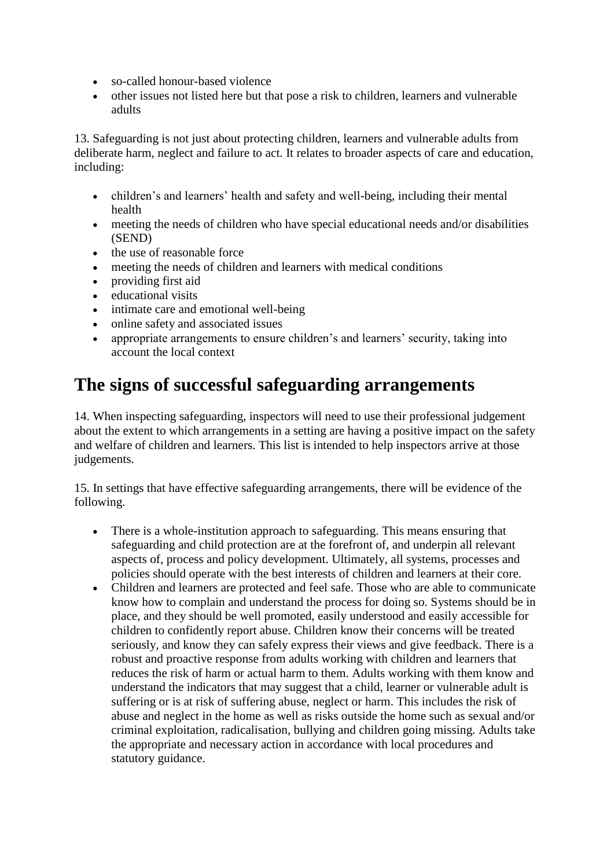- so-called honour-based violence
- other issues not listed here but that pose a risk to children, learners and vulnerable adults

13. Safeguarding is not just about protecting children, learners and vulnerable adults from deliberate harm, neglect and failure to act. It relates to broader aspects of care and education, including:

- children's and learners' health and safety and well-being, including their mental health
- meeting the needs of children who have special educational needs and/or disabilities (SEND)
- the use of reasonable force
- meeting the needs of children and learners with medical conditions
- providing first aid
- educational visits
- intimate care and emotional well-being
- online safety and associated issues
- appropriate arrangements to ensure children's and learners' security, taking into account the local context

### **The signs of successful safeguarding arrangements**

14. When inspecting safeguarding, inspectors will need to use their professional judgement about the extent to which arrangements in a setting are having a positive impact on the safety and welfare of children and learners. This list is intended to help inspectors arrive at those judgements.

15. In settings that have effective safeguarding arrangements, there will be evidence of the following.

- There is a whole-institution approach to safeguarding. This means ensuring that safeguarding and child protection are at the forefront of, and underpin all relevant aspects of, process and policy development. Ultimately, all systems, processes and policies should operate with the best interests of children and learners at their core.
- Children and learners are protected and feel safe. Those who are able to communicate know how to complain and understand the process for doing so. Systems should be in place, and they should be well promoted, easily understood and easily accessible for children to confidently report abuse. Children know their concerns will be treated seriously, and know they can safely express their views and give feedback. There is a robust and proactive response from adults working with children and learners that reduces the risk of harm or actual harm to them. Adults working with them know and understand the indicators that may suggest that a child, learner or vulnerable adult is suffering or is at risk of suffering abuse, neglect or harm. This includes the risk of abuse and neglect in the home as well as risks outside the home such as sexual and/or criminal exploitation, radicalisation, bullying and children going missing. Adults take the appropriate and necessary action in accordance with local procedures and statutory guidance.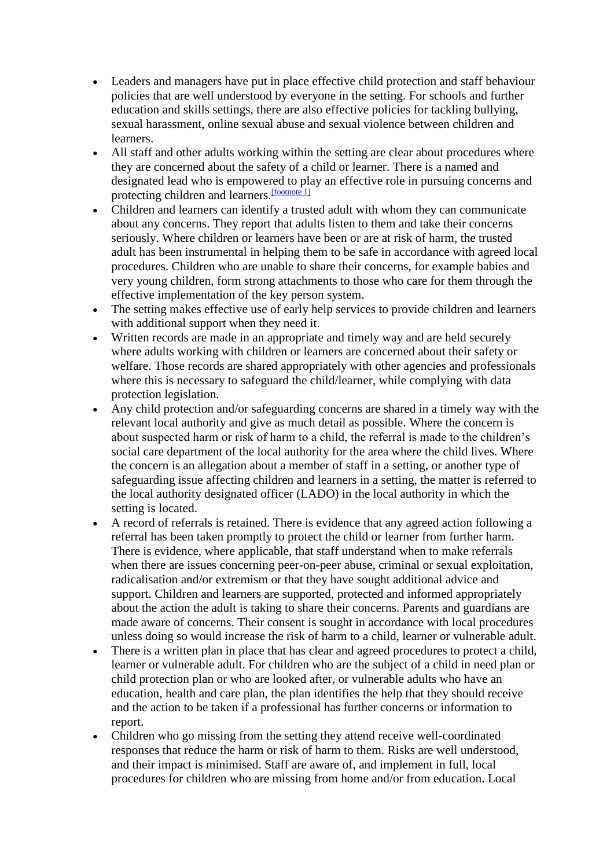- Leaders and managers have put in place effective child protection and staff behaviour policies that are well understood by everyone in the setting. For schools and further education and skills settings, there are also effective policies for tackling bullying, sexual harassment, online sexual abuse and sexual violence between children and learners.
- All staff and other adults working within the setting are clear about procedures where they are concerned about the safety of a child or learner. There is a named and designated lead who is empowered to play an effective role in pursuing concerns and protecting children and learners.<sup>[\[footnote 1\]](https://www.gov.uk/government/publications/inspecting-safeguarding-in-early-years-education-and-skills/inspecting-safeguarding-in-early-years-education-and-skills#fn:1)</sup>
- Children and learners can identify a trusted adult with whom they can communicate about any concerns. They report that adults listen to them and take their concerns seriously. Where children or learners have been or are at risk of harm, the trusted adult has been instrumental in helping them to be safe in accordance with agreed local procedures. Children who are unable to share their concerns, for example babies and very young children, form strong attachments to those who care for them through the effective implementation of the key person system.
- The setting makes effective use of early help services to provide children and learners with additional support when they need it.
- Written records are made in an appropriate and timely way and are held securely where adults working with children or learners are concerned about their safety or welfare. Those records are shared appropriately with other agencies and professionals where this is necessary to safeguard the child/learner, while complying with data protection legislation.
- Any child protection and/or safeguarding concerns are shared in a timely way with the relevant local authority and give as much detail as possible. Where the concern is about suspected harm or risk of harm to a child, the referral is made to the children's social care department of the local authority for the area where the child lives. Where the concern is an allegation about a member of staff in a setting, or another type of safeguarding issue affecting children and learners in a setting, the matter is referred to the local authority designated officer (LADO) in the local authority in which the setting is located.
- A record of referrals is retained. There is evidence that any agreed action following a referral has been taken promptly to protect the child or learner from further harm. There is evidence, where applicable, that staff understand when to make referrals when there are issues concerning peer-on-peer abuse, criminal or sexual exploitation, radicalisation and/or extremism or that they have sought additional advice and support. Children and learners are supported, protected and informed appropriately about the action the adult is taking to share their concerns. Parents and guardians are made aware of concerns. Their consent is sought in accordance with local procedures unless doing so would increase the risk of harm to a child, learner or vulnerable adult.
- There is a written plan in place that has clear and agreed procedures to protect a child, learner or vulnerable adult. For children who are the subject of a child in need plan or child protection plan or who are looked after, or vulnerable adults who have an education, health and care plan, the plan identifies the help that they should receive and the action to be taken if a professional has further concerns or information to report.
- Children who go missing from the setting they attend receive well-coordinated responses that reduce the harm or risk of harm to them. Risks are well understood, and their impact is minimised. Staff are aware of, and implement in full, local procedures for children who are missing from home and/or from education. Local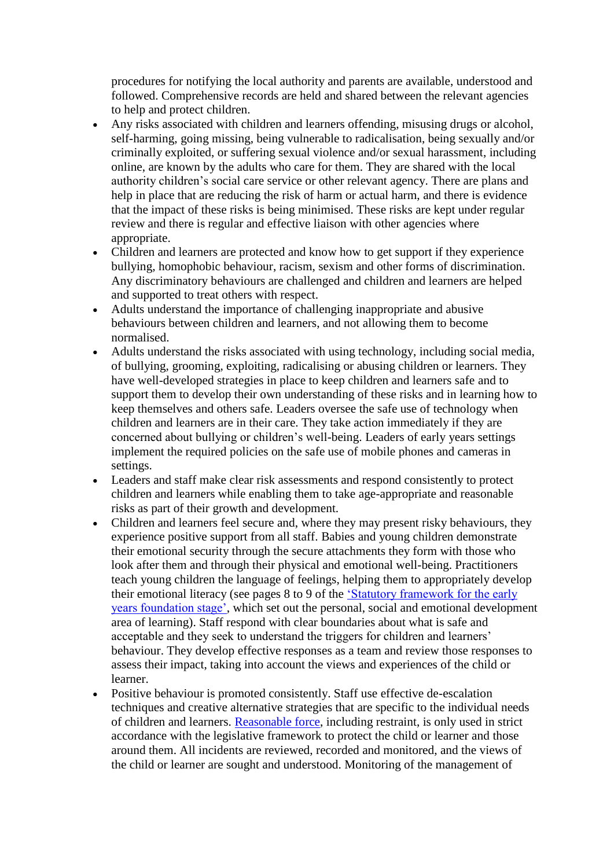procedures for notifying the local authority and parents are available, understood and followed. Comprehensive records are held and shared between the relevant agencies to help and protect children.

- Any risks associated with children and learners offending, misusing drugs or alcohol, self-harming, going missing, being vulnerable to radicalisation, being sexually and/or criminally exploited, or suffering sexual violence and/or sexual harassment, including online, are known by the adults who care for them. They are shared with the local authority children's social care service or other relevant agency. There are plans and help in place that are reducing the risk of harm or actual harm, and there is evidence that the impact of these risks is being minimised. These risks are kept under regular review and there is regular and effective liaison with other agencies where appropriate.
- Children and learners are protected and know how to get support if they experience bullying, homophobic behaviour, racism, sexism and other forms of discrimination. Any discriminatory behaviours are challenged and children and learners are helped and supported to treat others with respect.
- Adults understand the importance of challenging inappropriate and abusive behaviours between children and learners, and not allowing them to become normalised.
- Adults understand the risks associated with using technology, including social media, of bullying, grooming, exploiting, radicalising or abusing children or learners. They have well-developed strategies in place to keep children and learners safe and to support them to develop their own understanding of these risks and in learning how to keep themselves and others safe. Leaders oversee the safe use of technology when children and learners are in their care. They take action immediately if they are concerned about bullying or children's well-being. Leaders of early years settings implement the required policies on the safe use of mobile phones and cameras in settings.
- Leaders and staff make clear risk assessments and respond consistently to protect children and learners while enabling them to take age-appropriate and reasonable risks as part of their growth and development.
- Children and learners feel secure and, where they may present risky behaviours, they experience positive support from all staff. Babies and young children demonstrate their emotional security through the secure attachments they form with those who look after them and through their physical and emotional well-being. Practitioners teach young children the language of feelings, helping them to appropriately develop their emotional literacy (see pages 8 to 9 of the ['Statutory framework for the early](https://www.gov.uk/government/publications/early-years-foundation-stage-framework--2)  [years foundation stage',](https://www.gov.uk/government/publications/early-years-foundation-stage-framework--2) which set out the personal, social and emotional development area of learning). Staff respond with clear boundaries about what is safe and acceptable and they seek to understand the triggers for children and learners' behaviour. They develop effective responses as a team and review those responses to assess their impact, taking into account the views and experiences of the child or learner.
- Positive behaviour is promoted consistently. Staff use effective de-escalation techniques and creative alternative strategies that are specific to the individual needs of children and learners. [Reasonable force,](https://www.gov.uk/government/publications/use-of-reasonable-force-in-schools) including restraint, is only used in strict accordance with the legislative framework to protect the child or learner and those around them. All incidents are reviewed, recorded and monitored, and the views of the child or learner are sought and understood. Monitoring of the management of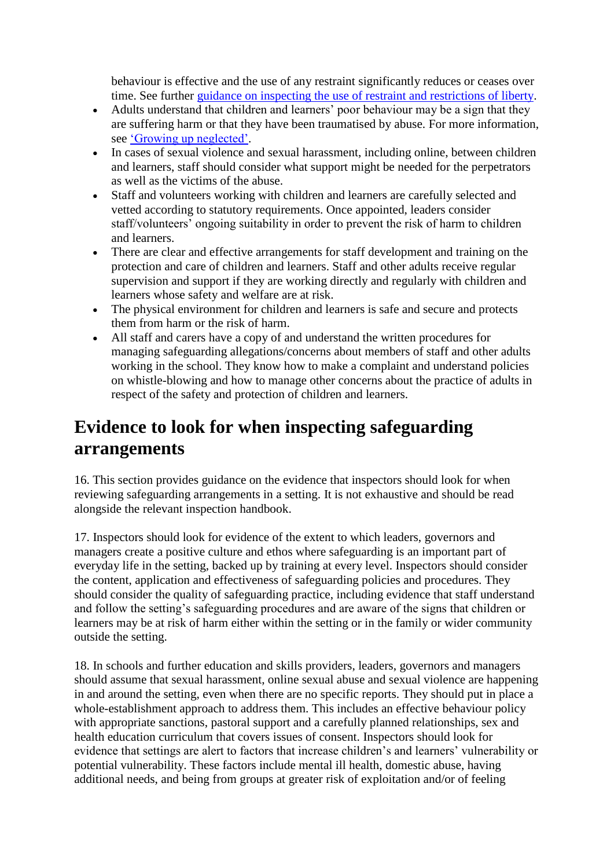behaviour is effective and the use of any restraint significantly reduces or ceases over time. See further [guidance on inspecting the use of restraint and restrictions of liberty.](https://www.gov.uk/government/publications/positive-environments-where-children-can-flourish)

- Adults understand that children and learners' poor behaviour may be a sign that they are suffering harm or that they have been traumatised by abuse. For more information, see ['Growing up neglected'.](https://www.gov.uk/government/publications/growing-up-neglected-a-multi-agency-response-to-older-children)
- In cases of sexual violence and sexual harassment, including online, between children and learners, staff should consider what support might be needed for the perpetrators as well as the victims of the abuse.
- Staff and volunteers working with children and learners are carefully selected and vetted according to statutory requirements. Once appointed, leaders consider staff/volunteers' ongoing suitability in order to prevent the risk of harm to children and learners.
- There are clear and effective arrangements for staff development and training on the protection and care of children and learners. Staff and other adults receive regular supervision and support if they are working directly and regularly with children and learners whose safety and welfare are at risk.
- The physical environment for children and learners is safe and secure and protects them from harm or the risk of harm.
- All staff and carers have a copy of and understand the written procedures for managing safeguarding allegations/concerns about members of staff and other adults working in the school. They know how to make a complaint and understand policies on whistle-blowing and how to manage other concerns about the practice of adults in respect of the safety and protection of children and learners.

### **Evidence to look for when inspecting safeguarding arrangements**

16. This section provides guidance on the evidence that inspectors should look for when reviewing safeguarding arrangements in a setting. It is not exhaustive and should be read alongside the relevant inspection handbook.

17. Inspectors should look for evidence of the extent to which leaders, governors and managers create a positive culture and ethos where safeguarding is an important part of everyday life in the setting, backed up by training at every level. Inspectors should consider the content, application and effectiveness of safeguarding policies and procedures. They should consider the quality of safeguarding practice, including evidence that staff understand and follow the setting's safeguarding procedures and are aware of the signs that children or learners may be at risk of harm either within the setting or in the family or wider community outside the setting.

18. In schools and further education and skills providers, leaders, governors and managers should assume that sexual harassment, online sexual abuse and sexual violence are happening in and around the setting, even when there are no specific reports. They should put in place a whole-establishment approach to address them. This includes an effective behaviour policy with appropriate sanctions, pastoral support and a carefully planned relationships, sex and health education curriculum that covers issues of consent. Inspectors should look for evidence that settings are alert to factors that increase children's and learners' vulnerability or potential vulnerability. These factors include mental ill health, domestic abuse, having additional needs, and being from groups at greater risk of exploitation and/or of feeling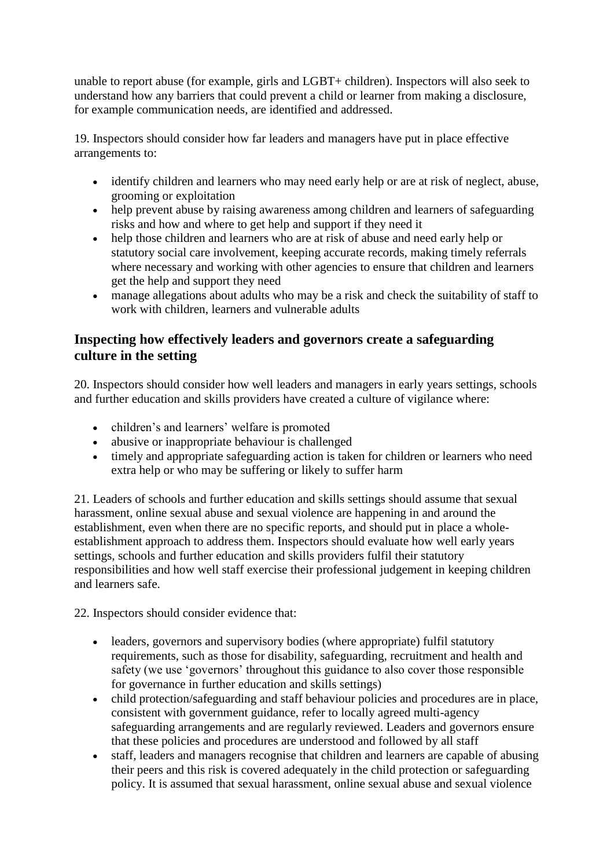unable to report abuse (for example, girls and LGBT+ children). Inspectors will also seek to understand how any barriers that could prevent a child or learner from making a disclosure, for example communication needs, are identified and addressed.

19. Inspectors should consider how far leaders and managers have put in place effective arrangements to:

- identify children and learners who may need early help or are at risk of neglect, abuse, grooming or exploitation
- help prevent abuse by raising awareness among children and learners of safeguarding risks and how and where to get help and support if they need it
- help those children and learners who are at risk of abuse and need early help or statutory social care involvement, keeping accurate records, making timely referrals where necessary and working with other agencies to ensure that children and learners get the help and support they need
- manage allegations about adults who may be a risk and check the suitability of staff to work with children, learners and vulnerable adults

### **Inspecting how effectively leaders and governors create a safeguarding culture in the setting**

20. Inspectors should consider how well leaders and managers in early years settings, schools and further education and skills providers have created a culture of vigilance where:

- children's and learners' welfare is promoted
- abusive or inappropriate behaviour is challenged
- timely and appropriate safeguarding action is taken for children or learners who need extra help or who may be suffering or likely to suffer harm

21. Leaders of schools and further education and skills settings should assume that sexual harassment, online sexual abuse and sexual violence are happening in and around the establishment, even when there are no specific reports, and should put in place a wholeestablishment approach to address them. Inspectors should evaluate how well early years settings, schools and further education and skills providers fulfil their statutory responsibilities and how well staff exercise their professional judgement in keeping children and learners safe.

22. Inspectors should consider evidence that:

- leaders, governors and supervisory bodies (where appropriate) fulfil statutory requirements, such as those for disability, safeguarding, recruitment and health and safety (we use 'governors' throughout this guidance to also cover those responsible for governance in further education and skills settings)
- child protection/safeguarding and staff behaviour policies and procedures are in place, consistent with government guidance, refer to locally agreed multi-agency safeguarding arrangements and are regularly reviewed. Leaders and governors ensure that these policies and procedures are understood and followed by all staff
- staff, leaders and managers recognise that children and learners are capable of abusing their peers and this risk is covered adequately in the child protection or safeguarding policy. It is assumed that sexual harassment, online sexual abuse and sexual violence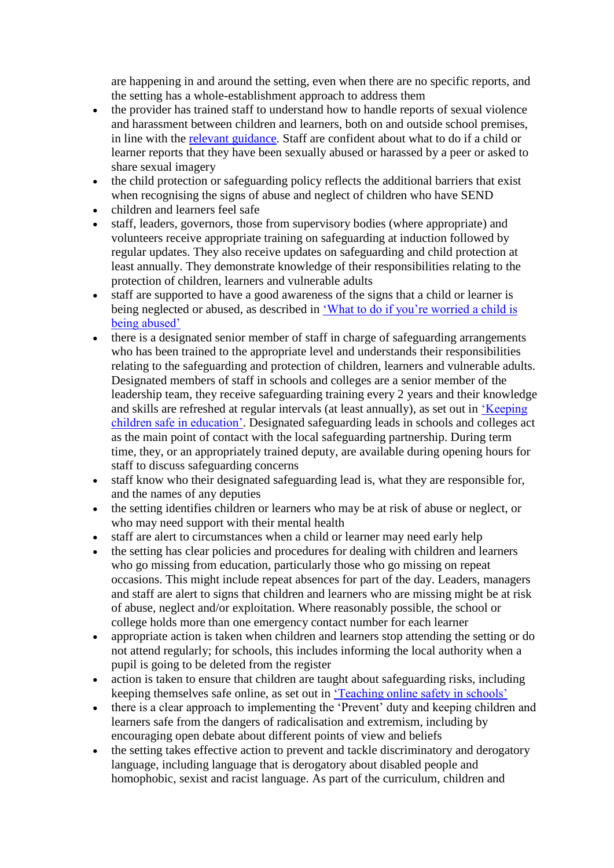are happening in and around the setting, even when there are no specific reports, and the setting has a whole-establishment approach to address them

- the provider has trained staff to understand how to handle reports of sexual violence and harassment between children and learners, both on and outside school premises, in line with the [relevant guidance.](https://www.gov.uk/government/publications/sexual-violence-and-sexual-harassment-between-children-in-schools-and-colleges) Staff are confident about what to do if a child or learner reports that they have been sexually abused or harassed by a peer or asked to share sexual imagery
- the child protection or safeguarding policy reflects the additional barriers that exist when recognising the signs of abuse and neglect of children who have SEND
- children and learners feel safe
- staff, leaders, governors, those from supervisory bodies (where appropriate) and volunteers receive appropriate training on safeguarding at induction followed by regular updates. They also receive updates on safeguarding and child protection at least annually. They demonstrate knowledge of their responsibilities relating to the protection of children, learners and vulnerable adults
- staff are supported to have a good awareness of the signs that a child or learner is being neglected or abused, as described in ['What to do if you're worried a child is](https://www.gov.uk/government/publications/what-to-do-if-youre-worried-a-child-is-being-abused--2)  [being abused'](https://www.gov.uk/government/publications/what-to-do-if-youre-worried-a-child-is-being-abused--2)
- there is a designated senior member of staff in charge of safeguarding arrangements who has been trained to the appropriate level and understands their responsibilities relating to the safeguarding and protection of children, learners and vulnerable adults. Designated members of staff in schools and colleges are a senior member of the leadership team, they receive safeguarding training every 2 years and their knowledge and skills are refreshed at regular intervals (at least annually), as set out in ['Keeping](https://www.gov.uk/government/publications/keeping-children-safe-in-education--2)  [children safe in education'.](https://www.gov.uk/government/publications/keeping-children-safe-in-education--2) Designated safeguarding leads in schools and colleges act as the main point of contact with the local safeguarding partnership. During term time, they, or an appropriately trained deputy, are available during opening hours for staff to discuss safeguarding concerns
- staff know who their designated safeguarding lead is, what they are responsible for, and the names of any deputies
- the setting identifies children or learners who may be at risk of abuse or neglect, or who may need support with their mental health
- staff are alert to circumstances when a child or learner may need early help
- the setting has clear policies and procedures for dealing with children and learners who go missing from education, particularly those who go missing on repeat occasions. This might include repeat absences for part of the day. Leaders, managers and staff are alert to signs that children and learners who are missing might be at risk of abuse, neglect and/or exploitation. Where reasonably possible, the school or college holds more than one emergency contact number for each learner
- appropriate action is taken when children and learners stop attending the setting or do not attend regularly; for schools, this includes informing the local authority when a pupil is going to be deleted from the register
- action is taken to ensure that children are taught about safeguarding risks, including keeping themselves safe online, as set out in ['Teaching online safety in schools'](https://www.gov.uk/government/publications/teaching-online-safety-in-schools)
- there is a clear approach to implementing the 'Prevent' duty and keeping children and learners safe from the dangers of radicalisation and extremism, including by encouraging open debate about different points of view and beliefs
- the setting takes effective action to prevent and tackle discriminatory and derogatory language, including language that is derogatory about disabled people and homophobic, sexist and racist language. As part of the curriculum, children and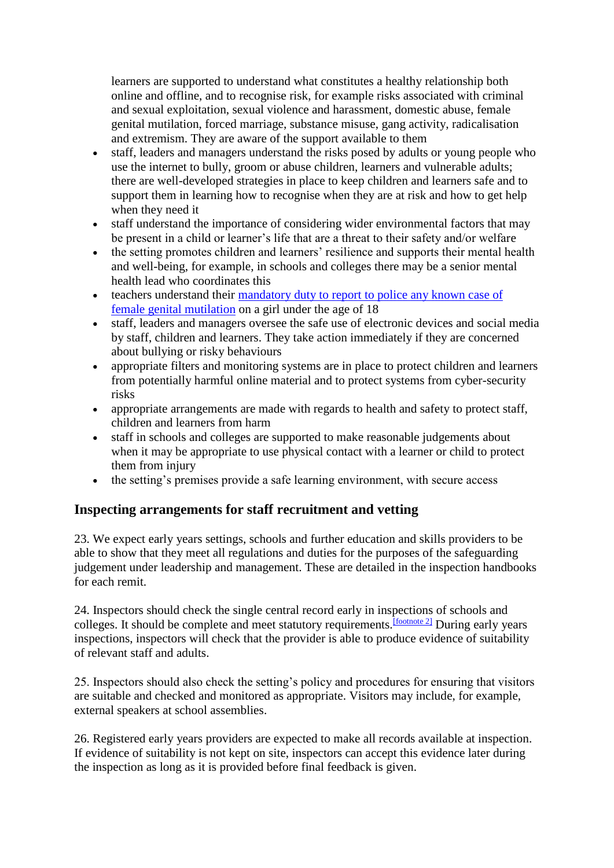learners are supported to understand what constitutes a healthy relationship both online and offline, and to recognise risk, for example risks associated with criminal and sexual exploitation, sexual violence and harassment, domestic abuse, female genital mutilation, forced marriage, substance misuse, gang activity, radicalisation and extremism. They are aware of the support available to them

- staff, leaders and managers understand the risks posed by adults or young people who use the internet to bully, groom or abuse children, learners and vulnerable adults; there are well-developed strategies in place to keep children and learners safe and to support them in learning how to recognise when they are at risk and how to get help when they need it
- staff understand the importance of considering wider environmental factors that may be present in a child or learner's life that are a threat to their safety and/or welfare
- the setting promotes children and learners' resilience and supports their mental health and well-being, for example, in schools and colleges there may be a senior mental health lead who coordinates this
- teachers understand their mandatory duty to report to police any known case of [female genital mutilation](https://www.gov.uk/government/publications/mandatory-reporting-of-female-genital-mutilation-procedural-information) on a girl under the age of 18
- staff, leaders and managers oversee the safe use of electronic devices and social media by staff, children and learners. They take action immediately if they are concerned about bullying or risky behaviours
- appropriate filters and monitoring systems are in place to protect children and learners from potentially harmful online material and to protect systems from cyber-security risks
- appropriate arrangements are made with regards to health and safety to protect staff, children and learners from harm
- staff in schools and colleges are supported to make reasonable judgements about when it may be appropriate to use physical contact with a learner or child to protect them from injury
- the setting's premises provide a safe learning environment, with secure access

#### **Inspecting arrangements for staff recruitment and vetting**

23. We expect early years settings, schools and further education and skills providers to be able to show that they meet all regulations and duties for the purposes of the safeguarding judgement under leadership and management. These are detailed in the inspection handbooks for each remit.

24. Inspectors should check the single central record early in inspections of schools and colleges. It should be complete and meet statutory requirements.<sup>[\[footnote 2\]](https://www.gov.uk/government/publications/inspecting-safeguarding-in-early-years-education-and-skills/inspecting-safeguarding-in-early-years-education-and-skills#fn:2)</sup> During early years inspections, inspectors will check that the provider is able to produce evidence of suitability of relevant staff and adults.

25. Inspectors should also check the setting's policy and procedures for ensuring that visitors are suitable and checked and monitored as appropriate. Visitors may include, for example, external speakers at school assemblies.

26. Registered early years providers are expected to make all records available at inspection. If evidence of suitability is not kept on site, inspectors can accept this evidence later during the inspection as long as it is provided before final feedback is given.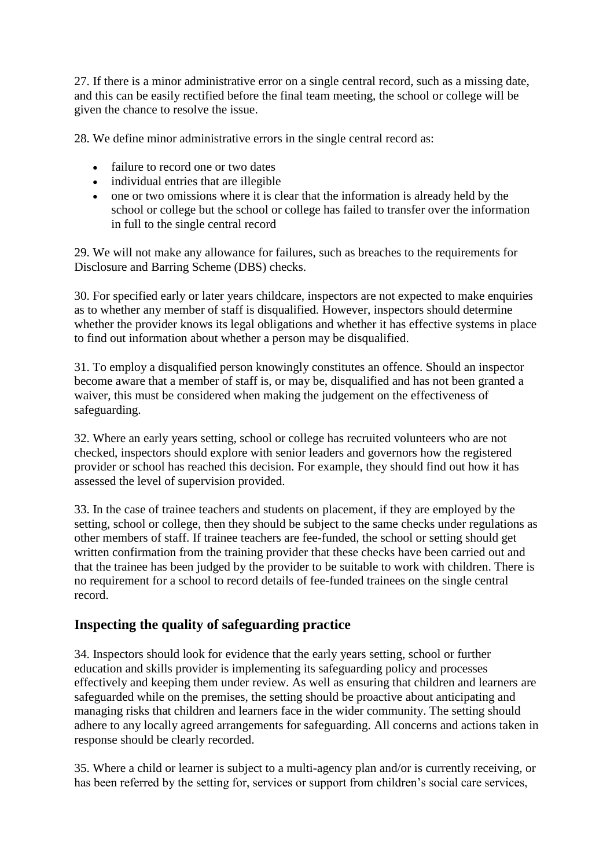27. If there is a minor administrative error on a single central record, such as a missing date, and this can be easily rectified before the final team meeting, the school or college will be given the chance to resolve the issue.

28. We define minor administrative errors in the single central record as:

- failure to record one or two dates
- individual entries that are illegible
- one or two omissions where it is clear that the information is already held by the school or college but the school or college has failed to transfer over the information in full to the single central record

29. We will not make any allowance for failures, such as breaches to the requirements for Disclosure and Barring Scheme (DBS) checks.

30. For specified early or later years childcare, inspectors are not expected to make enquiries as to whether any member of staff is disqualified. However, inspectors should determine whether the provider knows its legal obligations and whether it has effective systems in place to find out information about whether a person may be disqualified.

31. To employ a disqualified person knowingly constitutes an offence. Should an inspector become aware that a member of staff is, or may be, disqualified and has not been granted a waiver, this must be considered when making the judgement on the effectiveness of safeguarding.

32. Where an early years setting, school or college has recruited volunteers who are not checked, inspectors should explore with senior leaders and governors how the registered provider or school has reached this decision. For example, they should find out how it has assessed the level of supervision provided.

33. In the case of trainee teachers and students on placement, if they are employed by the setting, school or college, then they should be subject to the same checks under regulations as other members of staff. If trainee teachers are fee-funded, the school or setting should get written confirmation from the training provider that these checks have been carried out and that the trainee has been judged by the provider to be suitable to work with children. There is no requirement for a school to record details of fee-funded trainees on the single central record.

#### **Inspecting the quality of safeguarding practice**

34. Inspectors should look for evidence that the early years setting, school or further education and skills provider is implementing its safeguarding policy and processes effectively and keeping them under review. As well as ensuring that children and learners are safeguarded while on the premises, the setting should be proactive about anticipating and managing risks that children and learners face in the wider community. The setting should adhere to any locally agreed arrangements for safeguarding. All concerns and actions taken in response should be clearly recorded.

35. Where a child or learner is subject to a multi-agency plan and/or is currently receiving, or has been referred by the setting for, services or support from children's social care services,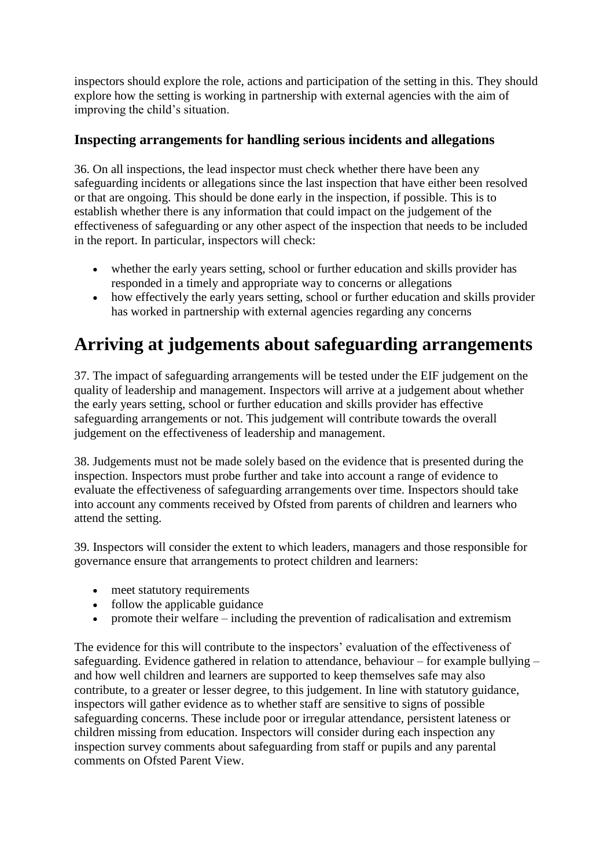inspectors should explore the role, actions and participation of the setting in this. They should explore how the setting is working in partnership with external agencies with the aim of improving the child's situation.

### **Inspecting arrangements for handling serious incidents and allegations**

36. On all inspections, the lead inspector must check whether there have been any safeguarding incidents or allegations since the last inspection that have either been resolved or that are ongoing. This should be done early in the inspection, if possible. This is to establish whether there is any information that could impact on the judgement of the effectiveness of safeguarding or any other aspect of the inspection that needs to be included in the report. In particular, inspectors will check:

- whether the early years setting, school or further education and skills provider has responded in a timely and appropriate way to concerns or allegations
- how effectively the early years setting, school or further education and skills provider has worked in partnership with external agencies regarding any concerns

# **Arriving at judgements about safeguarding arrangements**

37. The impact of safeguarding arrangements will be tested under the EIF judgement on the quality of leadership and management. Inspectors will arrive at a judgement about whether the early years setting, school or further education and skills provider has effective safeguarding arrangements or not. This judgement will contribute towards the overall judgement on the effectiveness of leadership and management.

38. Judgements must not be made solely based on the evidence that is presented during the inspection. Inspectors must probe further and take into account a range of evidence to evaluate the effectiveness of safeguarding arrangements over time. Inspectors should take into account any comments received by Ofsted from parents of children and learners who attend the setting.

39. Inspectors will consider the extent to which leaders, managers and those responsible for governance ensure that arrangements to protect children and learners:

- meet statutory requirements
- follow the applicable guidance
- promote their welfare including the prevention of radicalisation and extremism

The evidence for this will contribute to the inspectors' evaluation of the effectiveness of safeguarding. Evidence gathered in relation to attendance, behaviour – for example bullying – and how well children and learners are supported to keep themselves safe may also contribute, to a greater or lesser degree, to this judgement. In line with statutory guidance, inspectors will gather evidence as to whether staff are sensitive to signs of possible safeguarding concerns. These include poor or irregular attendance, persistent lateness or children missing from education. Inspectors will consider during each inspection any inspection survey comments about safeguarding from staff or pupils and any parental comments on Ofsted Parent View.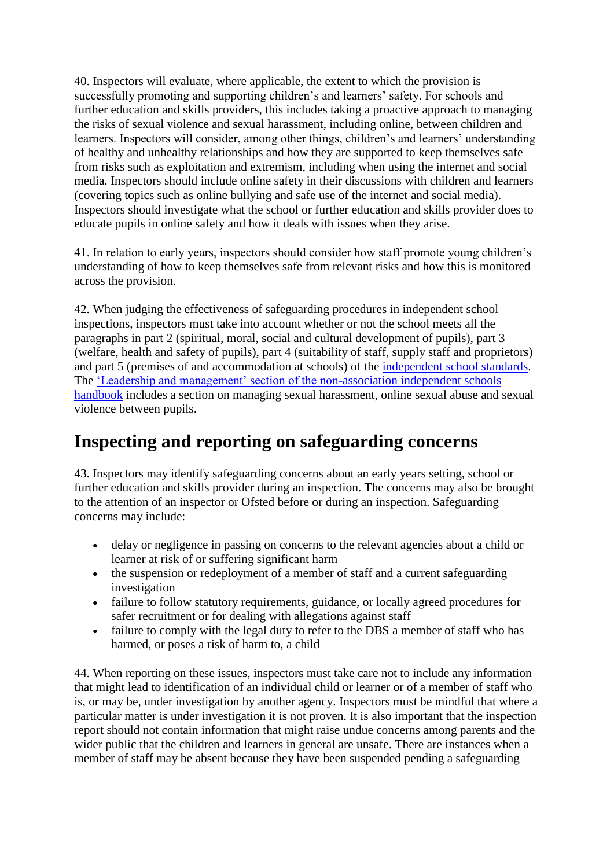40. Inspectors will evaluate, where applicable, the extent to which the provision is successfully promoting and supporting children's and learners' safety. For schools and further education and skills providers, this includes taking a proactive approach to managing the risks of sexual violence and sexual harassment, including online, between children and learners. Inspectors will consider, among other things, children's and learners' understanding of healthy and unhealthy relationships and how they are supported to keep themselves safe from risks such as exploitation and extremism, including when using the internet and social media. Inspectors should include online safety in their discussions with children and learners (covering topics such as online bullying and safe use of the internet and social media). Inspectors should investigate what the school or further education and skills provider does to educate pupils in online safety and how it deals with issues when they arise.

41. In relation to early years, inspectors should consider how staff promote young children's understanding of how to keep themselves safe from relevant risks and how this is monitored across the provision.

42. When judging the effectiveness of safeguarding procedures in independent school inspections, inspectors must take into account whether or not the school meets all the paragraphs in part 2 (spiritual, moral, social and cultural development of pupils), part 3 (welfare, health and safety of pupils), part 4 (suitability of staff, supply staff and proprietors) and part 5 (premises of and accommodation at schools) of the [independent school standards.](https://www.legislation.gov.uk/uksi/2014/3283/contents/made) The ['Leadership and management' section of the non-association independent schools](https://www.gov.uk/government/publications/independent-schools-inspection-handbook-eif/non-association-independent-schools-handbook-for-september-2021#leadership-and-management)  [handbook](https://www.gov.uk/government/publications/independent-schools-inspection-handbook-eif/non-association-independent-schools-handbook-for-september-2021#leadership-and-management) includes a section on managing sexual harassment, online sexual abuse and sexual violence between pupils.

### **Inspecting and reporting on safeguarding concerns**

43. Inspectors may identify safeguarding concerns about an early years setting, school or further education and skills provider during an inspection. The concerns may also be brought to the attention of an inspector or Ofsted before or during an inspection. Safeguarding concerns may include:

- delay or negligence in passing on concerns to the relevant agencies about a child or learner at risk of or suffering significant harm
- the suspension or redeployment of a member of staff and a current safeguarding investigation
- failure to follow statutory requirements, guidance, or locally agreed procedures for safer recruitment or for dealing with allegations against staff
- failure to comply with the legal duty to refer to the DBS a member of staff who has harmed, or poses a risk of harm to, a child

44. When reporting on these issues, inspectors must take care not to include any information that might lead to identification of an individual child or learner or of a member of staff who is, or may be, under investigation by another agency. Inspectors must be mindful that where a particular matter is under investigation it is not proven. It is also important that the inspection report should not contain information that might raise undue concerns among parents and the wider public that the children and learners in general are unsafe. There are instances when a member of staff may be absent because they have been suspended pending a safeguarding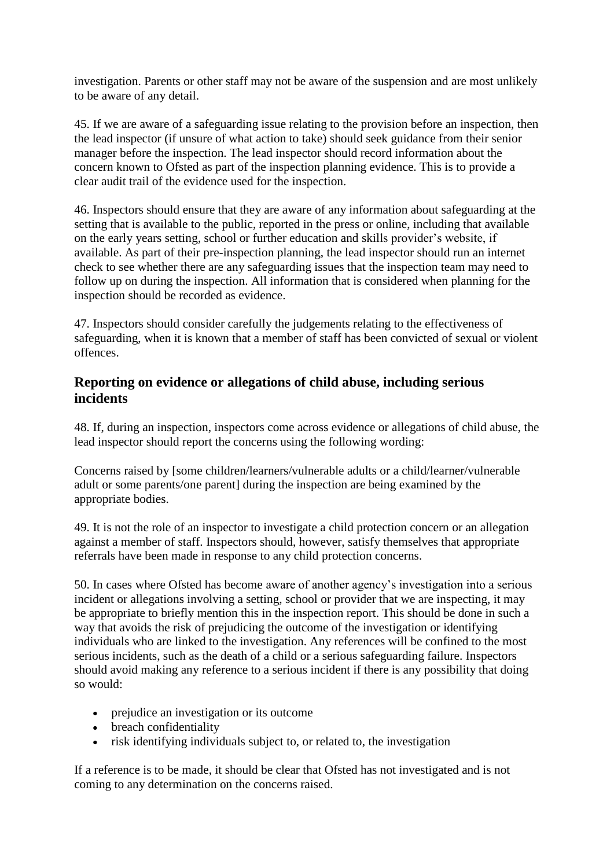investigation. Parents or other staff may not be aware of the suspension and are most unlikely to be aware of any detail.

45. If we are aware of a safeguarding issue relating to the provision before an inspection, then the lead inspector (if unsure of what action to take) should seek guidance from their senior manager before the inspection. The lead inspector should record information about the concern known to Ofsted as part of the inspection planning evidence. This is to provide a clear audit trail of the evidence used for the inspection.

46. Inspectors should ensure that they are aware of any information about safeguarding at the setting that is available to the public, reported in the press or online, including that available on the early years setting, school or further education and skills provider's website, if available. As part of their pre-inspection planning, the lead inspector should run an internet check to see whether there are any safeguarding issues that the inspection team may need to follow up on during the inspection. All information that is considered when planning for the inspection should be recorded as evidence.

47. Inspectors should consider carefully the judgements relating to the effectiveness of safeguarding, when it is known that a member of staff has been convicted of sexual or violent offences.

### **Reporting on evidence or allegations of child abuse, including serious incidents**

48. If, during an inspection, inspectors come across evidence or allegations of child abuse, the lead inspector should report the concerns using the following wording:

Concerns raised by [some children/learners/vulnerable adults or a child/learner/vulnerable adult or some parents/one parent] during the inspection are being examined by the appropriate bodies.

49. It is not the role of an inspector to investigate a child protection concern or an allegation against a member of staff. Inspectors should, however, satisfy themselves that appropriate referrals have been made in response to any child protection concerns.

50. In cases where Ofsted has become aware of another agency's investigation into a serious incident or allegations involving a setting, school or provider that we are inspecting, it may be appropriate to briefly mention this in the inspection report. This should be done in such a way that avoids the risk of prejudicing the outcome of the investigation or identifying individuals who are linked to the investigation. Any references will be confined to the most serious incidents, such as the death of a child or a serious safeguarding failure. Inspectors should avoid making any reference to a serious incident if there is any possibility that doing so would:

- prejudice an investigation or its outcome
- breach confidentiality
- risk identifying individuals subject to, or related to, the investigation

If a reference is to be made, it should be clear that Ofsted has not investigated and is not coming to any determination on the concerns raised.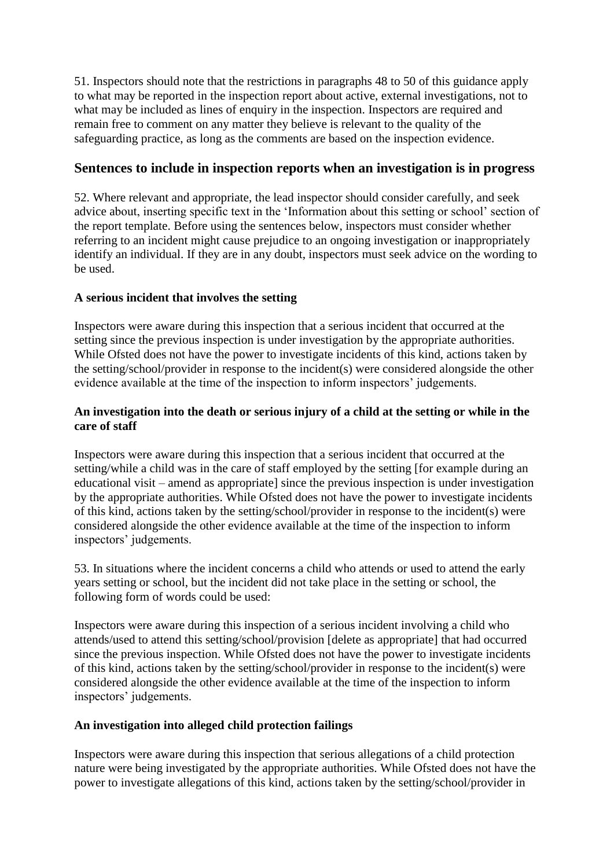51. Inspectors should note that the restrictions in paragraphs 48 to 50 of this guidance apply to what may be reported in the inspection report about active, external investigations, not to what may be included as lines of enquiry in the inspection. Inspectors are required and remain free to comment on any matter they believe is relevant to the quality of the safeguarding practice, as long as the comments are based on the inspection evidence.

### **Sentences to include in inspection reports when an investigation is in progress**

52. Where relevant and appropriate, the lead inspector should consider carefully, and seek advice about, inserting specific text in the 'Information about this setting or school' section of the report template. Before using the sentences below, inspectors must consider whether referring to an incident might cause prejudice to an ongoing investigation or inappropriately identify an individual. If they are in any doubt, inspectors must seek advice on the wording to be used.

#### **A serious incident that involves the setting**

Inspectors were aware during this inspection that a serious incident that occurred at the setting since the previous inspection is under investigation by the appropriate authorities. While Ofsted does not have the power to investigate incidents of this kind, actions taken by the setting/school/provider in response to the incident(s) were considered alongside the other evidence available at the time of the inspection to inform inspectors' judgements.

#### **An investigation into the death or serious injury of a child at the setting or while in the care of staff**

Inspectors were aware during this inspection that a serious incident that occurred at the setting/while a child was in the care of staff employed by the setting [for example during an educational visit – amend as appropriate] since the previous inspection is under investigation by the appropriate authorities. While Ofsted does not have the power to investigate incidents of this kind, actions taken by the setting/school/provider in response to the incident(s) were considered alongside the other evidence available at the time of the inspection to inform inspectors' judgements.

53. In situations where the incident concerns a child who attends or used to attend the early years setting or school, but the incident did not take place in the setting or school, the following form of words could be used:

Inspectors were aware during this inspection of a serious incident involving a child who attends/used to attend this setting/school/provision [delete as appropriate] that had occurred since the previous inspection. While Ofsted does not have the power to investigate incidents of this kind, actions taken by the setting/school/provider in response to the incident(s) were considered alongside the other evidence available at the time of the inspection to inform inspectors' judgements.

#### **An investigation into alleged child protection failings**

Inspectors were aware during this inspection that serious allegations of a child protection nature were being investigated by the appropriate authorities. While Ofsted does not have the power to investigate allegations of this kind, actions taken by the setting/school/provider in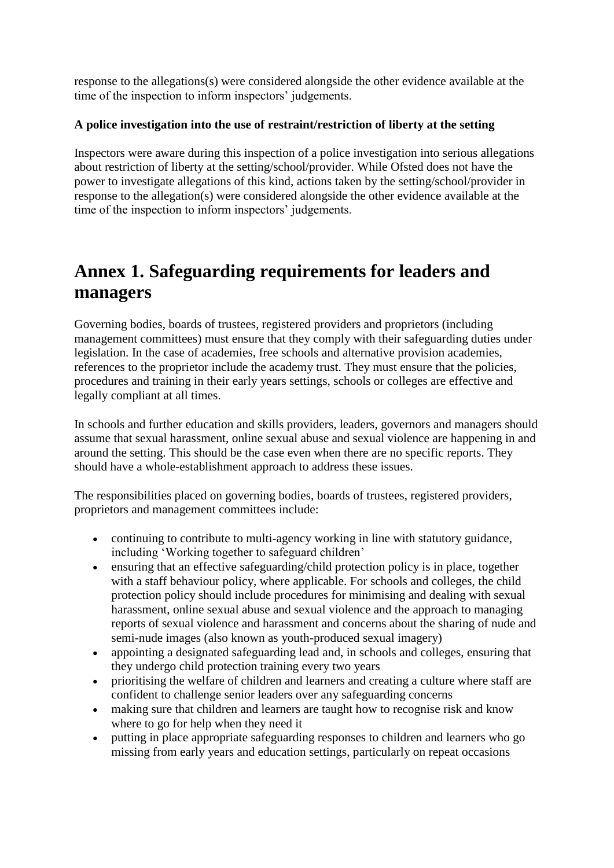response to the allegations(s) were considered alongside the other evidence available at the time of the inspection to inform inspectors' judgements.

#### **A police investigation into the use of restraint/restriction of liberty at the setting**

Inspectors were aware during this inspection of a police investigation into serious allegations about restriction of liberty at the setting/school/provider. While Ofsted does not have the power to investigate allegations of this kind, actions taken by the setting/school/provider in response to the allegation(s) were considered alongside the other evidence available at the time of the inspection to inform inspectors' judgements.

### **Annex 1. Safeguarding requirements for leaders and managers**

Governing bodies, boards of trustees, registered providers and proprietors (including management committees) must ensure that they comply with their safeguarding duties under legislation. In the case of academies, free schools and alternative provision academies, references to the proprietor include the academy trust. They must ensure that the policies, procedures and training in their early years settings, schools or colleges are effective and legally compliant at all times.

In schools and further education and skills providers, leaders, governors and managers should assume that sexual harassment, online sexual abuse and sexual violence are happening in and around the setting. This should be the case even when there are no specific reports. They should have a whole-establishment approach to address these issues.

The responsibilities placed on governing bodies, boards of trustees, registered providers, proprietors and management committees include:

- continuing to contribute to multi-agency working in line with statutory guidance, including 'Working together to safeguard children'
- ensuring that an effective safeguarding/child protection policy is in place, together with a staff behaviour policy, where applicable. For schools and colleges, the child protection policy should include procedures for minimising and dealing with sexual harassment, online sexual abuse and sexual violence and the approach to managing reports of sexual violence and harassment and concerns about the sharing of nude and semi-nude images (also known as youth-produced sexual imagery)
- appointing a designated safeguarding lead and, in schools and colleges, ensuring that they undergo child protection training every two years
- prioritising the welfare of children and learners and creating a culture where staff are confident to challenge senior leaders over any safeguarding concerns
- making sure that children and learners are taught how to recognise risk and know where to go for help when they need it
- putting in place appropriate safeguarding responses to children and learners who go missing from early years and education settings, particularly on repeat occasions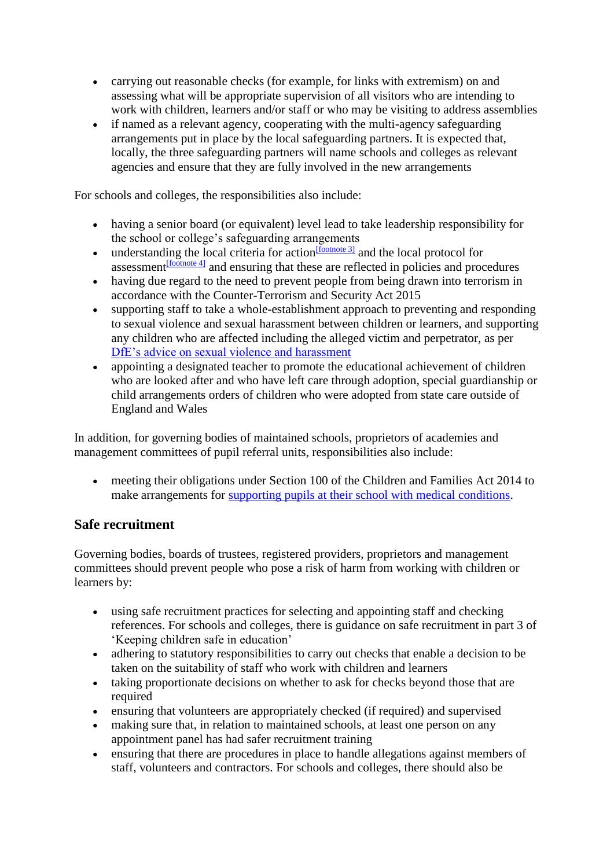- carrying out reasonable checks (for example, for links with extremism) on and assessing what will be appropriate supervision of all visitors who are intending to work with children, learners and/or staff or who may be visiting to address assemblies
- if named as a relevant agency, cooperating with the multi-agency safeguarding arrangements put in place by the local safeguarding partners. It is expected that, locally, the three safeguarding partners will name schools and colleges as relevant agencies and ensure that they are fully involved in the new arrangements

For schools and colleges, the responsibilities also include:

- having a senior board (or equivalent) level lead to take leadership responsibility for the school or college's safeguarding arrangements
- $\bullet$  understanding the local criteria for action<sup>[\[footnote 3\]](https://www.gov.uk/government/publications/inspecting-safeguarding-in-early-years-education-and-skills/inspecting-safeguarding-in-early-years-education-and-skills#fn:3)</sup> and the local protocol for assessment<sup>[\[footnote 4\]](https://www.gov.uk/government/publications/inspecting-safeguarding-in-early-years-education-and-skills/inspecting-safeguarding-in-early-years-education-and-skills#fn:4)</sup> and ensuring that these are reflected in policies and procedures
- having due regard to the need to prevent people from being drawn into terrorism in accordance with the Counter-Terrorism and Security Act 2015
- supporting staff to take a whole-establishment approach to preventing and responding to sexual violence and sexual harassment between children or learners, and supporting any children who are affected including the alleged victim and perpetrator, as per [DfE's advice on sexual violence and harassment](https://www.gov.uk/government/publications/sexual-violence-and-sexual-harassment-between-children-in-schools-and-colleges)
- appointing a designated teacher to promote the educational achievement of children who are looked after and who have left care through adoption, special guardianship or child arrangements orders of children who were adopted from state care outside of England and Wales

In addition, for governing bodies of maintained schools, proprietors of academies and management committees of pupil referral units, responsibilities also include:

 meeting their obligations under Section 100 of the Children and Families Act 2014 to make arrangements for [supporting pupils at their school with medical conditions.](https://www.gov.uk/government/publications/supporting-pupils-at-school-with-medical-conditions--3)

#### **Safe recruitment**

Governing bodies, boards of trustees, registered providers, proprietors and management committees should prevent people who pose a risk of harm from working with children or learners by:

- using safe recruitment practices for selecting and appointing staff and checking references. For schools and colleges, there is guidance on safe recruitment in part 3 of 'Keeping children safe in education'
- adhering to statutory responsibilities to carry out checks that enable a decision to be taken on the suitability of staff who work with children and learners
- taking proportionate decisions on whether to ask for checks beyond those that are required
- ensuring that volunteers are appropriately checked (if required) and supervised
- making sure that, in relation to maintained schools, at least one person on any appointment panel has had safer recruitment training
- ensuring that there are procedures in place to handle allegations against members of staff, volunteers and contractors. For schools and colleges, there should also be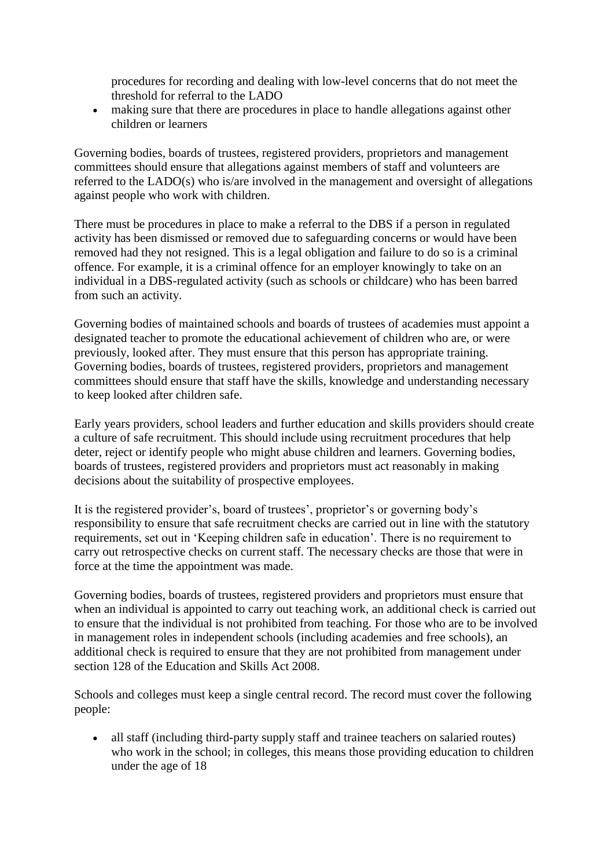procedures for recording and dealing with low-level concerns that do not meet the threshold for referral to the LADO

 making sure that there are procedures in place to handle allegations against other children or learners

Governing bodies, boards of trustees, registered providers, proprietors and management committees should ensure that allegations against members of staff and volunteers are referred to the LADO(s) who is/are involved in the management and oversight of allegations against people who work with children.

There must be procedures in place to make a referral to the DBS if a person in regulated activity has been dismissed or removed due to safeguarding concerns or would have been removed had they not resigned. This is a legal obligation and failure to do so is a criminal offence. For example, it is a criminal offence for an employer knowingly to take on an individual in a DBS-regulated activity (such as schools or childcare) who has been barred from such an activity.

Governing bodies of maintained schools and boards of trustees of academies must appoint a designated teacher to promote the educational achievement of children who are, or were previously, looked after. They must ensure that this person has appropriate training. Governing bodies, boards of trustees, registered providers, proprietors and management committees should ensure that staff have the skills, knowledge and understanding necessary to keep looked after children safe.

Early years providers, school leaders and further education and skills providers should create a culture of safe recruitment. This should include using recruitment procedures that help deter, reject or identify people who might abuse children and learners. Governing bodies, boards of trustees, registered providers and proprietors must act reasonably in making decisions about the suitability of prospective employees.

It is the registered provider's, board of trustees', proprietor's or governing body's responsibility to ensure that safe recruitment checks are carried out in line with the statutory requirements, set out in 'Keeping children safe in education'. There is no requirement to carry out retrospective checks on current staff. The necessary checks are those that were in force at the time the appointment was made.

Governing bodies, boards of trustees, registered providers and proprietors must ensure that when an individual is appointed to carry out teaching work, an additional check is carried out to ensure that the individual is not prohibited from teaching. For those who are to be involved in management roles in independent schools (including academies and free schools), an additional check is required to ensure that they are not prohibited from management under section 128 of the Education and Skills Act 2008.

Schools and colleges must keep a single central record. The record must cover the following people:

• all staff (including third-party supply staff and trainee teachers on salaried routes) who work in the school; in colleges, this means those providing education to children under the age of 18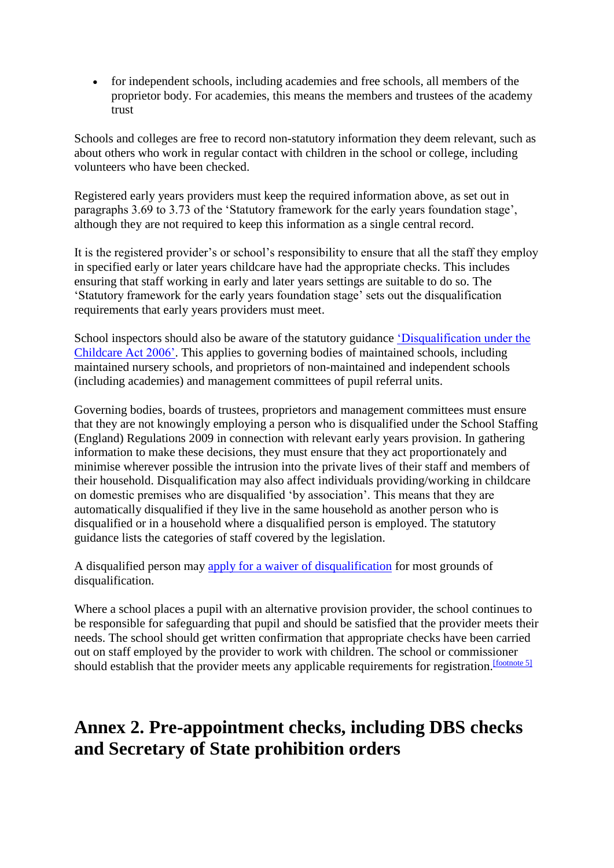for independent schools, including academies and free schools, all members of the proprietor body. For academies, this means the members and trustees of the academy trust

Schools and colleges are free to record non-statutory information they deem relevant, such as about others who work in regular contact with children in the school or college, including volunteers who have been checked.

Registered early years providers must keep the required information above, as set out in paragraphs 3.69 to 3.73 of the 'Statutory framework for the early years foundation stage', although they are not required to keep this information as a single central record.

It is the registered provider's or school's responsibility to ensure that all the staff they employ in specified early or later years childcare have had the appropriate checks. This includes ensuring that staff working in early and later years settings are suitable to do so. The 'Statutory framework for the early years foundation stage' sets out the disqualification requirements that early years providers must meet.

School inspectors should also be aware of the statutory guidance ['Disqualification under the](https://www.gov.uk/government/publications/disqualification-under-the-childcare-act-2006)  [Childcare Act 2006'.](https://www.gov.uk/government/publications/disqualification-under-the-childcare-act-2006) This applies to governing bodies of maintained schools, including maintained nursery schools, and proprietors of non-maintained and independent schools (including academies) and management committees of pupil referral units.

Governing bodies, boards of trustees, proprietors and management committees must ensure that they are not knowingly employing a person who is disqualified under the School Staffing (England) Regulations 2009 in connection with relevant early years provision. In gathering information to make these decisions, they must ensure that they act proportionately and minimise wherever possible the intrusion into the private lives of their staff and members of their household. Disqualification may also affect individuals providing/working in childcare on domestic premises who are disqualified 'by association'. This means that they are automatically disqualified if they live in the same household as another person who is disqualified or in a household where a disqualified person is employed. The statutory guidance lists the categories of staff covered by the legislation.

A disqualified person may [apply for a waiver of disqualification](https://www.gov.uk/government/publications/applying-to-waive-disqualification-early-years-and-childcare-providers) for most grounds of disqualification.

Where a school places a pupil with an alternative provision provider, the school continues to be responsible for safeguarding that pupil and should be satisfied that the provider meets their needs. The school should get written confirmation that appropriate checks have been carried out on staff employed by the provider to work with children. The school or commissioner should establish that the provider meets any applicable requirements for registration.<sup>[\[footnote 5\]](https://www.gov.uk/government/publications/inspecting-safeguarding-in-early-years-education-and-skills/inspecting-safeguarding-in-early-years-education-and-skills#fn:5)</sup>

### **Annex 2. Pre-appointment checks, including DBS checks and Secretary of State prohibition orders**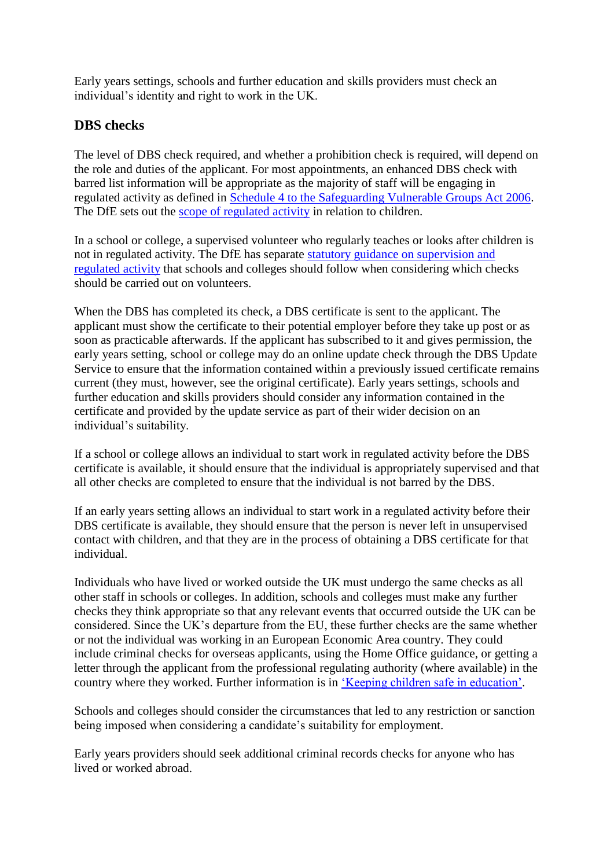Early years settings, schools and further education and skills providers must check an individual's identity and right to work in the UK.

### **DBS checks**

The level of DBS check required, and whether a prohibition check is required, will depend on the role and duties of the applicant. For most appointments, an enhanced DBS check with barred list information will be appropriate as the majority of staff will be engaging in regulated activity as defined in [Schedule 4 to the Safeguarding Vulnerable Groups Act 2006.](https://www.legislation.gov.uk/ukpga/2006/47/schedule/4) The DfE sets out the [scope of regulated activity](https://www.gov.uk/government/publications/keeping-children-safe-in-education--2) in relation to children.

In a school or college, a supervised volunteer who regularly teaches or looks after children is not in regulated activity. The DfE has separate [statutory guidance on supervision and](https://www.gov.uk/government/publications/keeping-children-safe-in-education--2)  [regulated activity](https://www.gov.uk/government/publications/keeping-children-safe-in-education--2) that schools and colleges should follow when considering which checks should be carried out on volunteers.

When the DBS has completed its check, a DBS certificate is sent to the applicant. The applicant must show the certificate to their potential employer before they take up post or as soon as practicable afterwards. If the applicant has subscribed to it and gives permission, the early years setting, school or college may do an online update check through the DBS Update Service to ensure that the information contained within a previously issued certificate remains current (they must, however, see the original certificate). Early years settings, schools and further education and skills providers should consider any information contained in the certificate and provided by the update service as part of their wider decision on an individual's suitability.

If a school or college allows an individual to start work in regulated activity before the DBS certificate is available, it should ensure that the individual is appropriately supervised and that all other checks are completed to ensure that the individual is not barred by the DBS.

If an early years setting allows an individual to start work in a regulated activity before their DBS certificate is available, they should ensure that the person is never left in unsupervised contact with children, and that they are in the process of obtaining a DBS certificate for that individual.

Individuals who have lived or worked outside the UK must undergo the same checks as all other staff in schools or colleges. In addition, schools and colleges must make any further checks they think appropriate so that any relevant events that occurred outside the UK can be considered. Since the UK's departure from the EU, these further checks are the same whether or not the individual was working in an European Economic Area country. They could include criminal checks for overseas applicants, using the Home Office guidance, or getting a letter through the applicant from the professional regulating authority (where available) in the country where they worked. Further information is in ['Keeping children safe in education'.](https://www.gov.uk/government/publications/keeping-children-safe-in-education--2)

Schools and colleges should consider the circumstances that led to any restriction or sanction being imposed when considering a candidate's suitability for employment.

Early years providers should seek additional criminal records checks for anyone who has lived or worked abroad.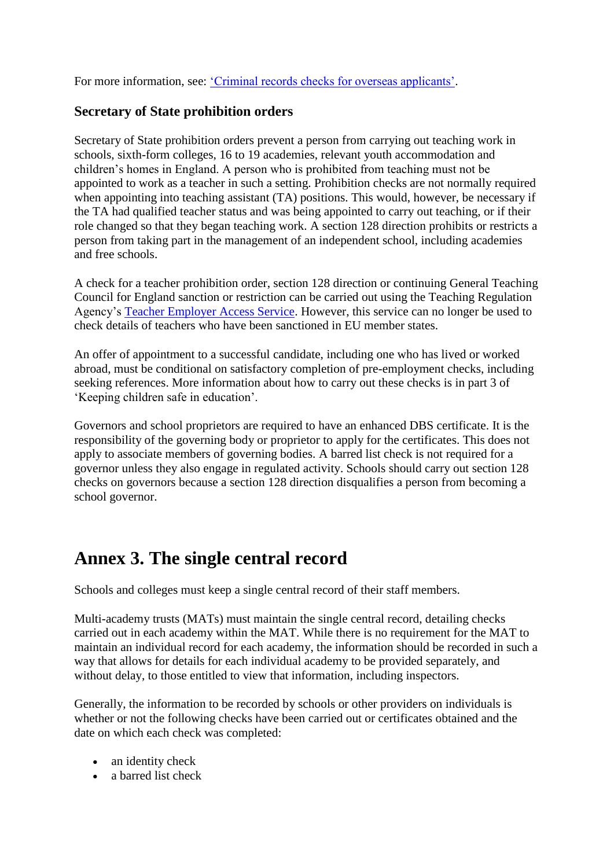For more information, see: ['Criminal records checks for overseas applicants'.](https://www.gov.uk/government/publications/criminal-records-checks-for-overseas-applicants)

#### **Secretary of State prohibition orders**

Secretary of State prohibition orders prevent a person from carrying out teaching work in schools, sixth-form colleges, 16 to 19 academies, relevant youth accommodation and children's homes in England. A person who is prohibited from teaching must not be appointed to work as a teacher in such a setting. Prohibition checks are not normally required when appointing into teaching assistant (TA) positions. This would, however, be necessary if the TA had qualified teacher status and was being appointed to carry out teaching, or if their role changed so that they began teaching work. A section 128 direction prohibits or restricts a person from taking part in the management of an independent school, including academies and free schools.

A check for a teacher prohibition order, section 128 direction or continuing General Teaching Council for England sanction or restriction can be carried out using the Teaching Regulation Agency's [Teacher Employer Access Service.](https://teacherservices.education.gov.uk/) However, this service can no longer be used to check details of teachers who have been sanctioned in EU member states.

An offer of appointment to a successful candidate, including one who has lived or worked abroad, must be conditional on satisfactory completion of pre-employment checks, including seeking references. More information about how to carry out these checks is in part 3 of 'Keeping children safe in education'.

Governors and school proprietors are required to have an enhanced DBS certificate. It is the responsibility of the governing body or proprietor to apply for the certificates. This does not apply to associate members of governing bodies. A barred list check is not required for a governor unless they also engage in regulated activity. Schools should carry out section 128 checks on governors because a section 128 direction disqualifies a person from becoming a school governor.

### **Annex 3. The single central record**

Schools and colleges must keep a single central record of their staff members.

Multi-academy trusts (MATs) must maintain the single central record, detailing checks carried out in each academy within the MAT. While there is no requirement for the MAT to maintain an individual record for each academy, the information should be recorded in such a way that allows for details for each individual academy to be provided separately, and without delay, to those entitled to view that information, including inspectors.

Generally, the information to be recorded by schools or other providers on individuals is whether or not the following checks have been carried out or certificates obtained and the date on which each check was completed:

- an identity check
- a barred list check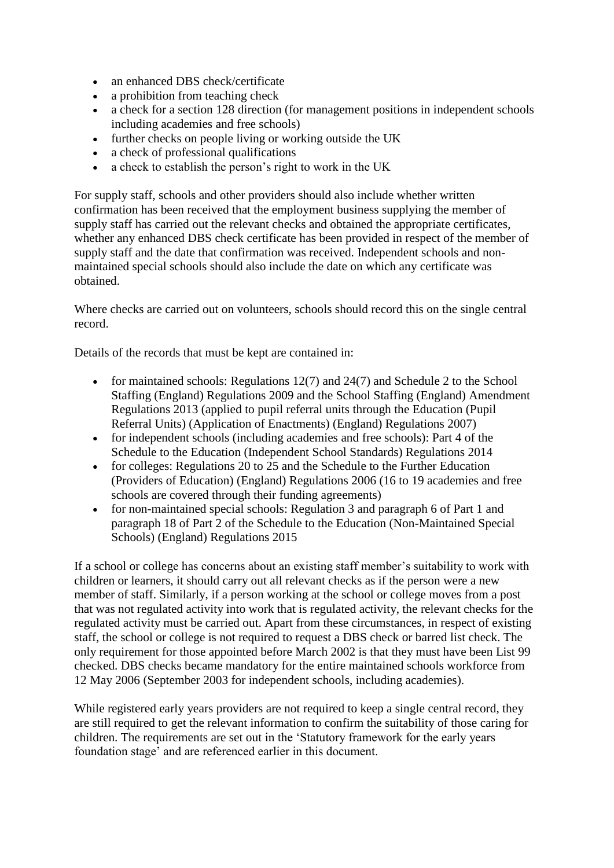- an enhanced DBS check/certificate
- a prohibition from teaching check
- a check for a section 128 direction (for management positions in independent schools including academies and free schools)
- further checks on people living or working outside the UK
- a check of professional qualifications
- a check to establish the person's right to work in the UK

For supply staff, schools and other providers should also include whether written confirmation has been received that the employment business supplying the member of supply staff has carried out the relevant checks and obtained the appropriate certificates, whether any enhanced DBS check certificate has been provided in respect of the member of supply staff and the date that confirmation was received. Independent schools and nonmaintained special schools should also include the date on which any certificate was obtained.

Where checks are carried out on volunteers, schools should record this on the single central record.

Details of the records that must be kept are contained in:

- for maintained schools: Regulations  $12(7)$  and  $24(7)$  and Schedule 2 to the School Staffing (England) Regulations 2009 and the School Staffing (England) Amendment Regulations 2013 (applied to pupil referral units through the Education (Pupil Referral Units) (Application of Enactments) (England) Regulations 2007)
- for independent schools (including academies and free schools): Part 4 of the Schedule to the Education (Independent School Standards) Regulations 2014
- for colleges: Regulations 20 to 25 and the Schedule to the Further Education (Providers of Education) (England) Regulations 2006 (16 to 19 academies and free schools are covered through their funding agreements)
- for non-maintained special schools: Regulation 3 and paragraph 6 of Part 1 and paragraph 18 of Part 2 of the Schedule to the Education (Non-Maintained Special Schools) (England) Regulations 2015

If a school or college has concerns about an existing staff member's suitability to work with children or learners, it should carry out all relevant checks as if the person were a new member of staff. Similarly, if a person working at the school or college moves from a post that was not regulated activity into work that is regulated activity, the relevant checks for the regulated activity must be carried out. Apart from these circumstances, in respect of existing staff, the school or college is not required to request a DBS check or barred list check. The only requirement for those appointed before March 2002 is that they must have been List 99 checked. DBS checks became mandatory for the entire maintained schools workforce from 12 May 2006 (September 2003 for independent schools, including academies).

While registered early years providers are not required to keep a single central record, they are still required to get the relevant information to confirm the suitability of those caring for children. The requirements are set out in the 'Statutory framework for the early years foundation stage' and are referenced earlier in this document.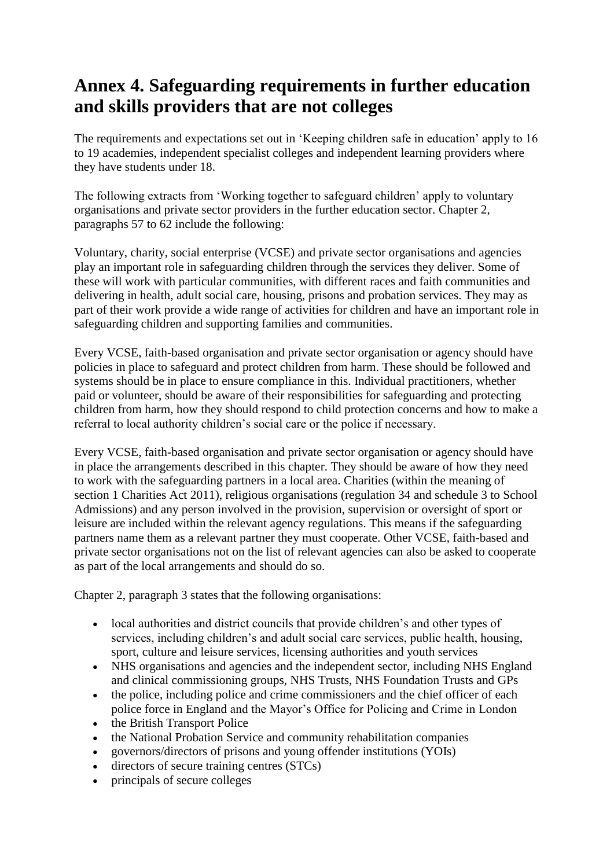### **Annex 4. Safeguarding requirements in further education and skills providers that are not colleges**

The requirements and expectations set out in 'Keeping children safe in education' apply to 16 to 19 academies, independent specialist colleges and independent learning providers where they have students under 18.

The following extracts from 'Working together to safeguard children' apply to voluntary organisations and private sector providers in the further education sector. Chapter 2, paragraphs 57 to 62 include the following:

Voluntary, charity, social enterprise (VCSE) and private sector organisations and agencies play an important role in safeguarding children through the services they deliver. Some of these will work with particular communities, with different races and faith communities and delivering in health, adult social care, housing, prisons and probation services. They may as part of their work provide a wide range of activities for children and have an important role in safeguarding children and supporting families and communities.

Every VCSE, faith-based organisation and private sector organisation or agency should have policies in place to safeguard and protect children from harm. These should be followed and systems should be in place to ensure compliance in this. Individual practitioners, whether paid or volunteer, should be aware of their responsibilities for safeguarding and protecting children from harm, how they should respond to child protection concerns and how to make a referral to local authority children's social care or the police if necessary.

Every VCSE, faith-based organisation and private sector organisation or agency should have in place the arrangements described in this chapter. They should be aware of how they need to work with the safeguarding partners in a local area. Charities (within the meaning of section 1 Charities Act 2011), religious organisations (regulation 34 and schedule 3 to School Admissions) and any person involved in the provision, supervision or oversight of sport or leisure are included within the relevant agency regulations. This means if the safeguarding partners name them as a relevant partner they must cooperate. Other VCSE, faith-based and private sector organisations not on the list of relevant agencies can also be asked to cooperate as part of the local arrangements and should do so.

Chapter 2, paragraph 3 states that the following organisations:

- local authorities and district councils that provide children's and other types of services, including children's and adult social care services, public health, housing, sport, culture and leisure services, licensing authorities and youth services
- NHS organisations and agencies and the independent sector, including NHS England and clinical commissioning groups, NHS Trusts, NHS Foundation Trusts and GPs
- the police, including police and crime commissioners and the chief officer of each police force in England and the Mayor's Office for Policing and Crime in London
- the British Transport Police
- the National Probation Service and community rehabilitation companies
- governors/directors of prisons and young offender institutions (YOIs)
- directors of secure training centres (STCs)
- principals of secure colleges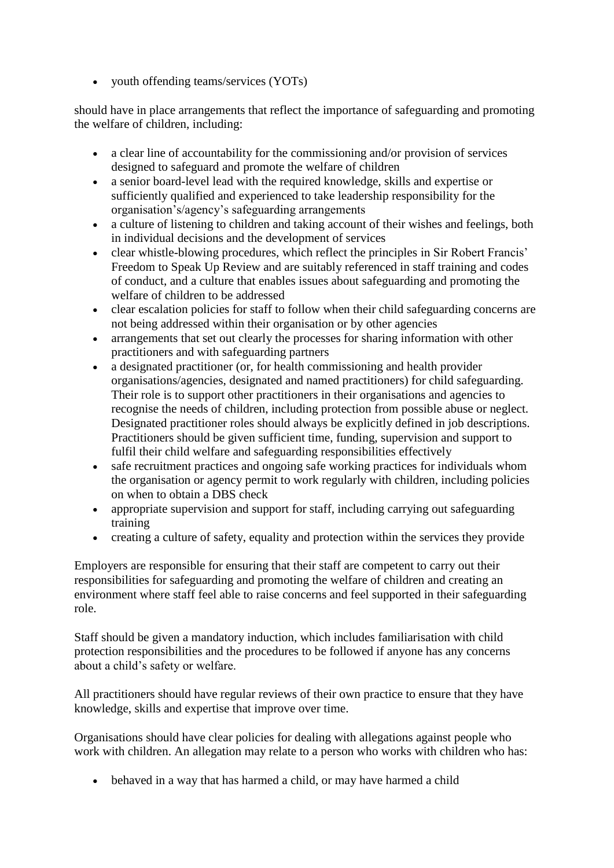• youth offending teams/services (YOTs)

should have in place arrangements that reflect the importance of safeguarding and promoting the welfare of children, including:

- a clear line of accountability for the commissioning and/or provision of services designed to safeguard and promote the welfare of children
- a senior board-level lead with the required knowledge, skills and expertise or sufficiently qualified and experienced to take leadership responsibility for the organisation's/agency's safeguarding arrangements
- a culture of listening to children and taking account of their wishes and feelings, both in individual decisions and the development of services
- clear whistle-blowing procedures, which reflect the principles in Sir Robert Francis' Freedom to Speak Up Review and are suitably referenced in staff training and codes of conduct, and a culture that enables issues about safeguarding and promoting the welfare of children to be addressed
- clear escalation policies for staff to follow when their child safeguarding concerns are not being addressed within their organisation or by other agencies
- arrangements that set out clearly the processes for sharing information with other practitioners and with safeguarding partners
- a designated practitioner (or, for health commissioning and health provider organisations/agencies, designated and named practitioners) for child safeguarding. Their role is to support other practitioners in their organisations and agencies to recognise the needs of children, including protection from possible abuse or neglect. Designated practitioner roles should always be explicitly defined in job descriptions. Practitioners should be given sufficient time, funding, supervision and support to fulfil their child welfare and safeguarding responsibilities effectively
- safe recruitment practices and ongoing safe working practices for individuals whom the organisation or agency permit to work regularly with children, including policies on when to obtain a DBS check
- appropriate supervision and support for staff, including carrying out safeguarding training
- creating a culture of safety, equality and protection within the services they provide

Employers are responsible for ensuring that their staff are competent to carry out their responsibilities for safeguarding and promoting the welfare of children and creating an environment where staff feel able to raise concerns and feel supported in their safeguarding role.

Staff should be given a mandatory induction, which includes familiarisation with child protection responsibilities and the procedures to be followed if anyone has any concerns about a child's safety or welfare.

All practitioners should have regular reviews of their own practice to ensure that they have knowledge, skills and expertise that improve over time.

Organisations should have clear policies for dealing with allegations against people who work with children. An allegation may relate to a person who works with children who has:

behaved in a way that has harmed a child, or may have harmed a child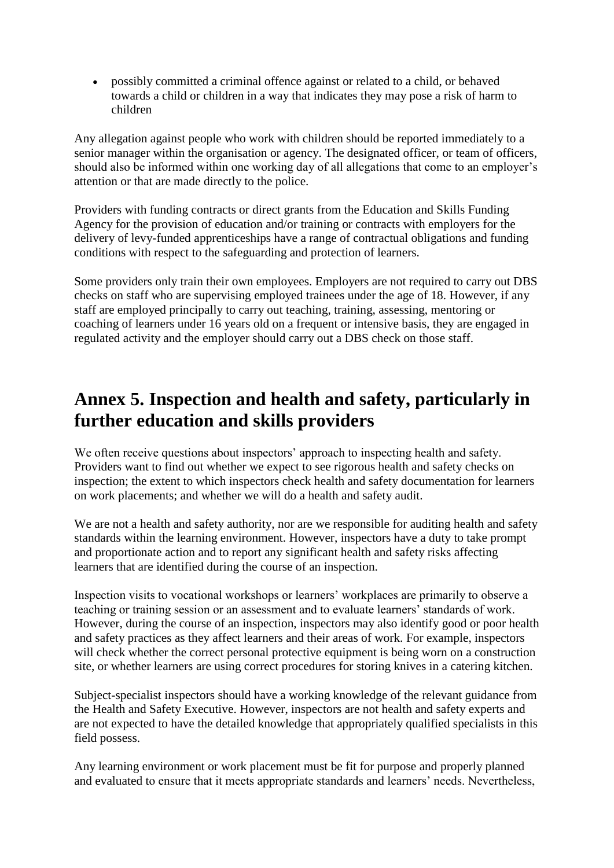possibly committed a criminal offence against or related to a child, or behaved towards a child or children in a way that indicates they may pose a risk of harm to children

Any allegation against people who work with children should be reported immediately to a senior manager within the organisation or agency. The designated officer, or team of officers, should also be informed within one working day of all allegations that come to an employer's attention or that are made directly to the police.

Providers with funding contracts or direct grants from the Education and Skills Funding Agency for the provision of education and/or training or contracts with employers for the delivery of levy-funded apprenticeships have a range of contractual obligations and funding conditions with respect to the safeguarding and protection of learners.

Some providers only train their own employees. Employers are not required to carry out DBS checks on staff who are supervising employed trainees under the age of 18. However, if any staff are employed principally to carry out teaching, training, assessing, mentoring or coaching of learners under 16 years old on a frequent or intensive basis, they are engaged in regulated activity and the employer should carry out a DBS check on those staff.

### **Annex 5. Inspection and health and safety, particularly in further education and skills providers**

We often receive questions about inspectors' approach to inspecting health and safety. Providers want to find out whether we expect to see rigorous health and safety checks on inspection; the extent to which inspectors check health and safety documentation for learners on work placements; and whether we will do a health and safety audit.

We are not a health and safety authority, nor are we responsible for auditing health and safety standards within the learning environment. However, inspectors have a duty to take prompt and proportionate action and to report any significant health and safety risks affecting learners that are identified during the course of an inspection.

Inspection visits to vocational workshops or learners' workplaces are primarily to observe a teaching or training session or an assessment and to evaluate learners' standards of work. However, during the course of an inspection, inspectors may also identify good or poor health and safety practices as they affect learners and their areas of work. For example, inspectors will check whether the correct personal protective equipment is being worn on a construction site, or whether learners are using correct procedures for storing knives in a catering kitchen.

Subject-specialist inspectors should have a working knowledge of the relevant guidance from the Health and Safety Executive. However, inspectors are not health and safety experts and are not expected to have the detailed knowledge that appropriately qualified specialists in this field possess.

Any learning environment or work placement must be fit for purpose and properly planned and evaluated to ensure that it meets appropriate standards and learners' needs. Nevertheless,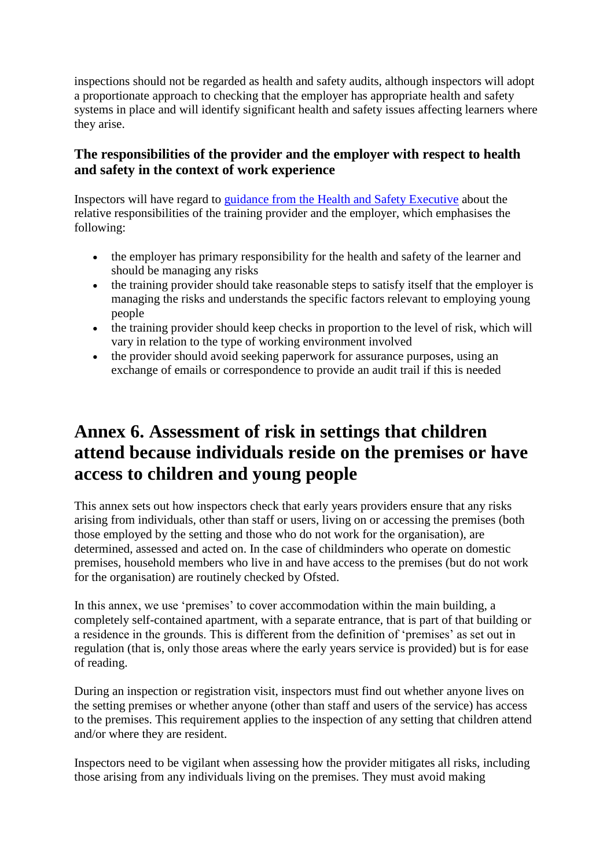inspections should not be regarded as health and safety audits, although inspectors will adopt a proportionate approach to checking that the employer has appropriate health and safety systems in place and will identify significant health and safety issues affecting learners where they arise.

### **The responsibilities of the provider and the employer with respect to health and safety in the context of work experience**

Inspectors will have regard to [guidance from the Health and Safety Executive](https://www.hse.gov.uk/youngpeople/workexperience/index.htm) about the relative responsibilities of the training provider and the employer, which emphasises the following:

- the employer has primary responsibility for the health and safety of the learner and should be managing any risks
- the training provider should take reasonable steps to satisfy itself that the employer is managing the risks and understands the specific factors relevant to employing young people
- the training provider should keep checks in proportion to the level of risk, which will vary in relation to the type of working environment involved
- the provider should avoid seeking paperwork for assurance purposes, using an exchange of emails or correspondence to provide an audit trail if this is needed

### **Annex 6. Assessment of risk in settings that children attend because individuals reside on the premises or have access to children and young people**

This annex sets out how inspectors check that early years providers ensure that any risks arising from individuals, other than staff or users, living on or accessing the premises (both those employed by the setting and those who do not work for the organisation), are determined, assessed and acted on. In the case of childminders who operate on domestic premises, household members who live in and have access to the premises (but do not work for the organisation) are routinely checked by Ofsted.

In this annex, we use 'premises' to cover accommodation within the main building, a completely self-contained apartment, with a separate entrance, that is part of that building or a residence in the grounds. This is different from the definition of 'premises' as set out in regulation (that is, only those areas where the early years service is provided) but is for ease of reading.

During an inspection or registration visit, inspectors must find out whether anyone lives on the setting premises or whether anyone (other than staff and users of the service) has access to the premises. This requirement applies to the inspection of any setting that children attend and/or where they are resident.

Inspectors need to be vigilant when assessing how the provider mitigates all risks, including those arising from any individuals living on the premises. They must avoid making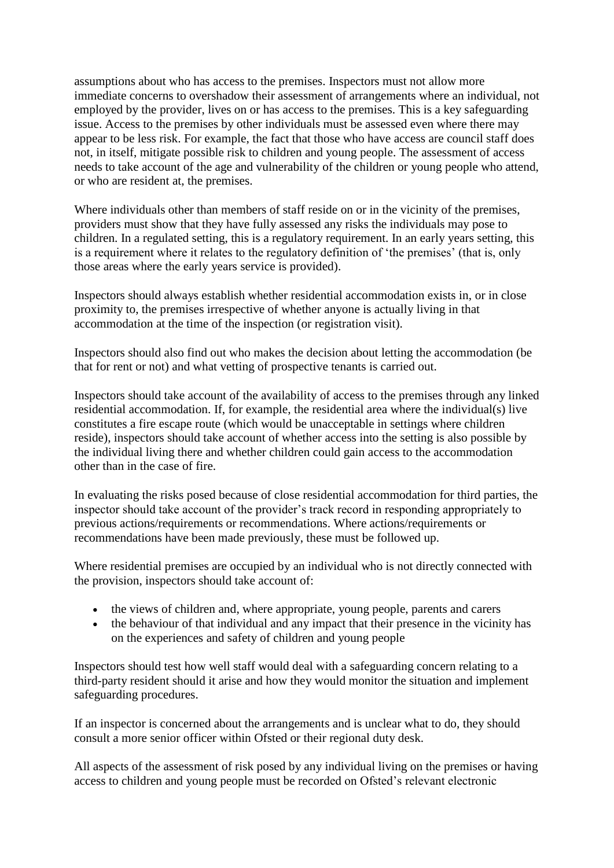assumptions about who has access to the premises. Inspectors must not allow more immediate concerns to overshadow their assessment of arrangements where an individual, not employed by the provider, lives on or has access to the premises. This is a key safeguarding issue. Access to the premises by other individuals must be assessed even where there may appear to be less risk. For example, the fact that those who have access are council staff does not, in itself, mitigate possible risk to children and young people. The assessment of access needs to take account of the age and vulnerability of the children or young people who attend, or who are resident at, the premises.

Where individuals other than members of staff reside on or in the vicinity of the premises, providers must show that they have fully assessed any risks the individuals may pose to children. In a regulated setting, this is a regulatory requirement. In an early years setting, this is a requirement where it relates to the regulatory definition of 'the premises' (that is, only those areas where the early years service is provided).

Inspectors should always establish whether residential accommodation exists in, or in close proximity to, the premises irrespective of whether anyone is actually living in that accommodation at the time of the inspection (or registration visit).

Inspectors should also find out who makes the decision about letting the accommodation (be that for rent or not) and what vetting of prospective tenants is carried out.

Inspectors should take account of the availability of access to the premises through any linked residential accommodation. If, for example, the residential area where the individual(s) live constitutes a fire escape route (which would be unacceptable in settings where children reside), inspectors should take account of whether access into the setting is also possible by the individual living there and whether children could gain access to the accommodation other than in the case of fire.

In evaluating the risks posed because of close residential accommodation for third parties, the inspector should take account of the provider's track record in responding appropriately to previous actions/requirements or recommendations. Where actions/requirements or recommendations have been made previously, these must be followed up.

Where residential premises are occupied by an individual who is not directly connected with the provision, inspectors should take account of:

- the views of children and, where appropriate, young people, parents and carers
- the behaviour of that individual and any impact that their presence in the vicinity has on the experiences and safety of children and young people

Inspectors should test how well staff would deal with a safeguarding concern relating to a third-party resident should it arise and how they would monitor the situation and implement safeguarding procedures.

If an inspector is concerned about the arrangements and is unclear what to do, they should consult a more senior officer within Ofsted or their regional duty desk.

All aspects of the assessment of risk posed by any individual living on the premises or having access to children and young people must be recorded on Ofsted's relevant electronic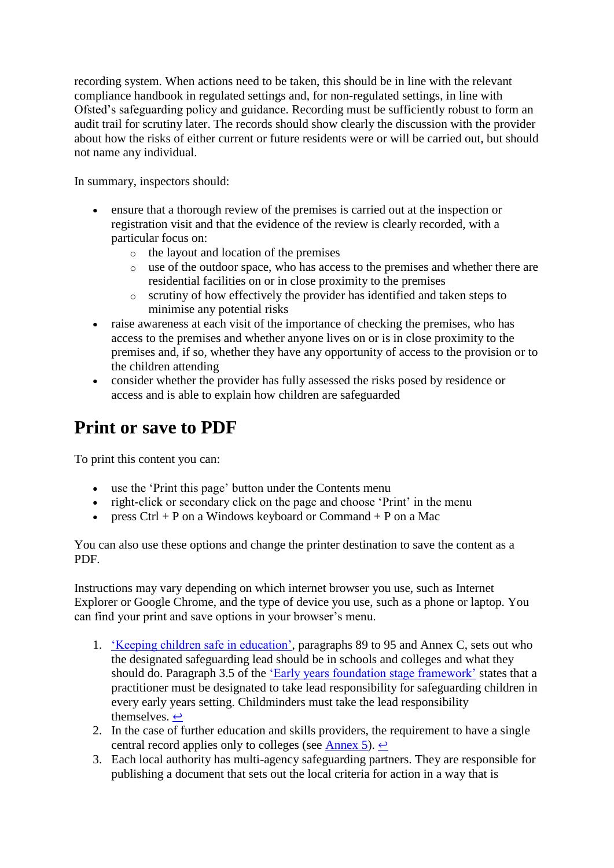recording system. When actions need to be taken, this should be in line with the relevant compliance handbook in regulated settings and, for non-regulated settings, in line with Ofsted's safeguarding policy and guidance. Recording must be sufficiently robust to form an audit trail for scrutiny later. The records should show clearly the discussion with the provider about how the risks of either current or future residents were or will be carried out, but should not name any individual.

In summary, inspectors should:

- ensure that a thorough review of the premises is carried out at the inspection or registration visit and that the evidence of the review is clearly recorded, with a particular focus on:
	- o the layout and location of the premises
	- o use of the outdoor space, who has access to the premises and whether there are residential facilities on or in close proximity to the premises
	- o scrutiny of how effectively the provider has identified and taken steps to minimise any potential risks
- raise awareness at each visit of the importance of checking the premises, who has access to the premises and whether anyone lives on or is in close proximity to the premises and, if so, whether they have any opportunity of access to the provision or to the children attending
- consider whether the provider has fully assessed the risks posed by residence or access and is able to explain how children are safeguarded

### **Print or save to PDF**

To print this content you can:

- use the 'Print this page' button under the Contents menu
- right-click or secondary click on the page and choose 'Print' in the menu
- press  $Ctrl + P$  on a Windows keyboard or Command  $+ P$  on a Mac

You can also use these options and change the printer destination to save the content as a PDF.

Instructions may vary depending on which internet browser you use, such as Internet Explorer or Google Chrome, and the type of device you use, such as a phone or laptop. You can find your print and save options in your browser's menu.

- 1. <u>'Keeping children safe in education'</u>, paragraphs 89 to 95 and Annex C, sets out who the designated safeguarding lead should be in schools and colleges and what they should do. Paragraph 3.5 of the ['Early years foundation stage framework'](https://www.gov.uk/government/publications/early-years-foundation-stage-framework--2) states that a practitioner must be designated to take lead responsibility for safeguarding children in every early years setting. Childminders must take the lead responsibility themselves.  $\leftrightarrow$
- 2. In the case of further education and skills providers, the requirement to have a single central record applies only to colleges (see [Annex 5\)](https://www.gov.uk/government/publications/inspecting-safeguarding-in-early-years-education-and-skills/inspecting-safeguarding-in-early-years-education-and-skills#annex-5).  $\leftrightarrow$
- 3. Each local authority has multi-agency safeguarding partners. They are responsible for publishing a document that sets out the local criteria for action in a way that is